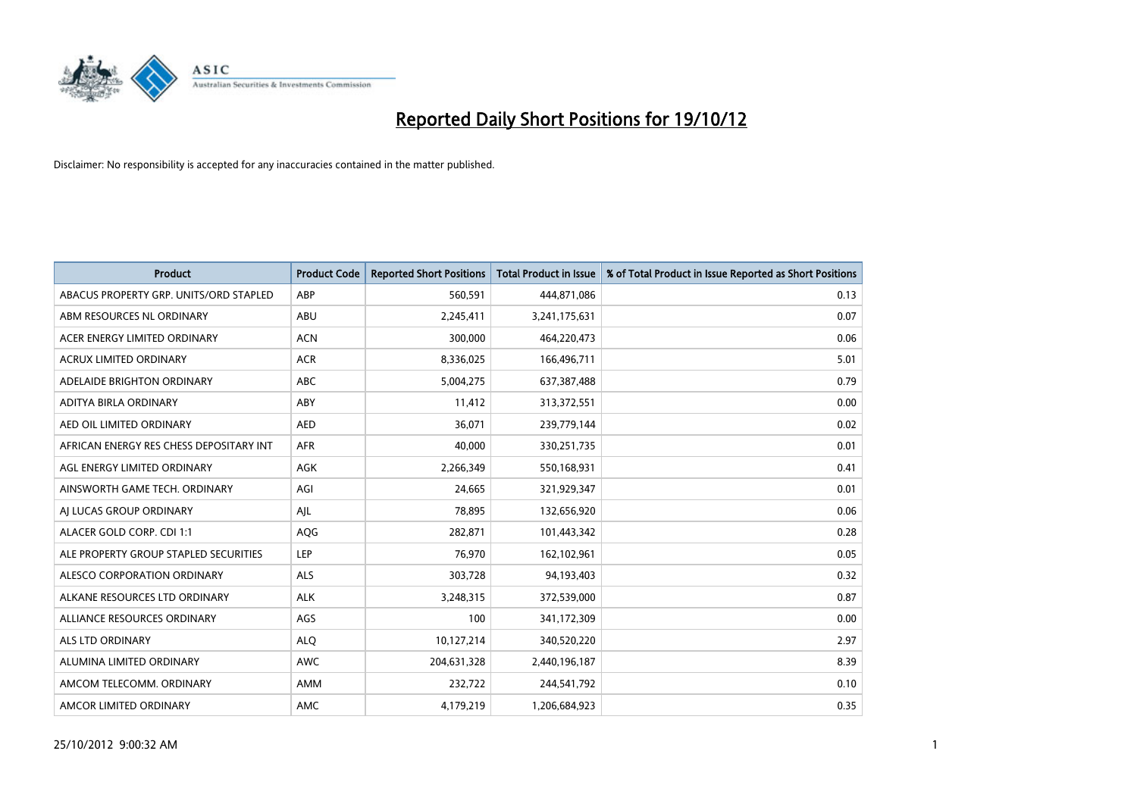

| <b>Product</b>                          | <b>Product Code</b> | <b>Reported Short Positions</b> | <b>Total Product in Issue</b> | % of Total Product in Issue Reported as Short Positions |
|-----------------------------------------|---------------------|---------------------------------|-------------------------------|---------------------------------------------------------|
| ABACUS PROPERTY GRP. UNITS/ORD STAPLED  | ABP                 | 560,591                         | 444,871,086                   | 0.13                                                    |
| ABM RESOURCES NL ORDINARY               | ABU                 | 2,245,411                       | 3,241,175,631                 | 0.07                                                    |
| ACER ENERGY LIMITED ORDINARY            | <b>ACN</b>          | 300,000                         | 464,220,473                   | 0.06                                                    |
| ACRUX LIMITED ORDINARY                  | <b>ACR</b>          | 8,336,025                       | 166,496,711                   | 5.01                                                    |
| ADELAIDE BRIGHTON ORDINARY              | <b>ABC</b>          | 5,004,275                       | 637, 387, 488                 | 0.79                                                    |
| ADITYA BIRLA ORDINARY                   | ABY                 | 11,412                          | 313,372,551                   | 0.00                                                    |
| AED OIL LIMITED ORDINARY                | <b>AED</b>          | 36.071                          | 239,779,144                   | 0.02                                                    |
| AFRICAN ENERGY RES CHESS DEPOSITARY INT | <b>AFR</b>          | 40.000                          | 330,251,735                   | 0.01                                                    |
| AGL ENERGY LIMITED ORDINARY             | AGK                 | 2,266,349                       | 550,168,931                   | 0.41                                                    |
| AINSWORTH GAME TECH. ORDINARY           | AGI                 | 24,665                          | 321,929,347                   | 0.01                                                    |
| AJ LUCAS GROUP ORDINARY                 | AJL                 | 78,895                          | 132,656,920                   | 0.06                                                    |
| ALACER GOLD CORP. CDI 1:1               | <b>AQG</b>          | 282,871                         | 101,443,342                   | 0.28                                                    |
| ALE PROPERTY GROUP STAPLED SECURITIES   | LEP                 | 76,970                          | 162,102,961                   | 0.05                                                    |
| ALESCO CORPORATION ORDINARY             | ALS                 | 303,728                         | 94,193,403                    | 0.32                                                    |
| ALKANE RESOURCES LTD ORDINARY           | <b>ALK</b>          | 3,248,315                       | 372,539,000                   | 0.87                                                    |
| ALLIANCE RESOURCES ORDINARY             | AGS                 | 100                             | 341,172,309                   | 0.00                                                    |
| <b>ALS LTD ORDINARY</b>                 | <b>ALO</b>          | 10,127,214                      | 340,520,220                   | 2.97                                                    |
| ALUMINA LIMITED ORDINARY                | <b>AWC</b>          | 204,631,328                     | 2,440,196,187                 | 8.39                                                    |
| AMCOM TELECOMM, ORDINARY                | <b>AMM</b>          | 232,722                         | 244,541,792                   | 0.10                                                    |
| AMCOR LIMITED ORDINARY                  | <b>AMC</b>          | 4,179,219                       | 1,206,684,923                 | 0.35                                                    |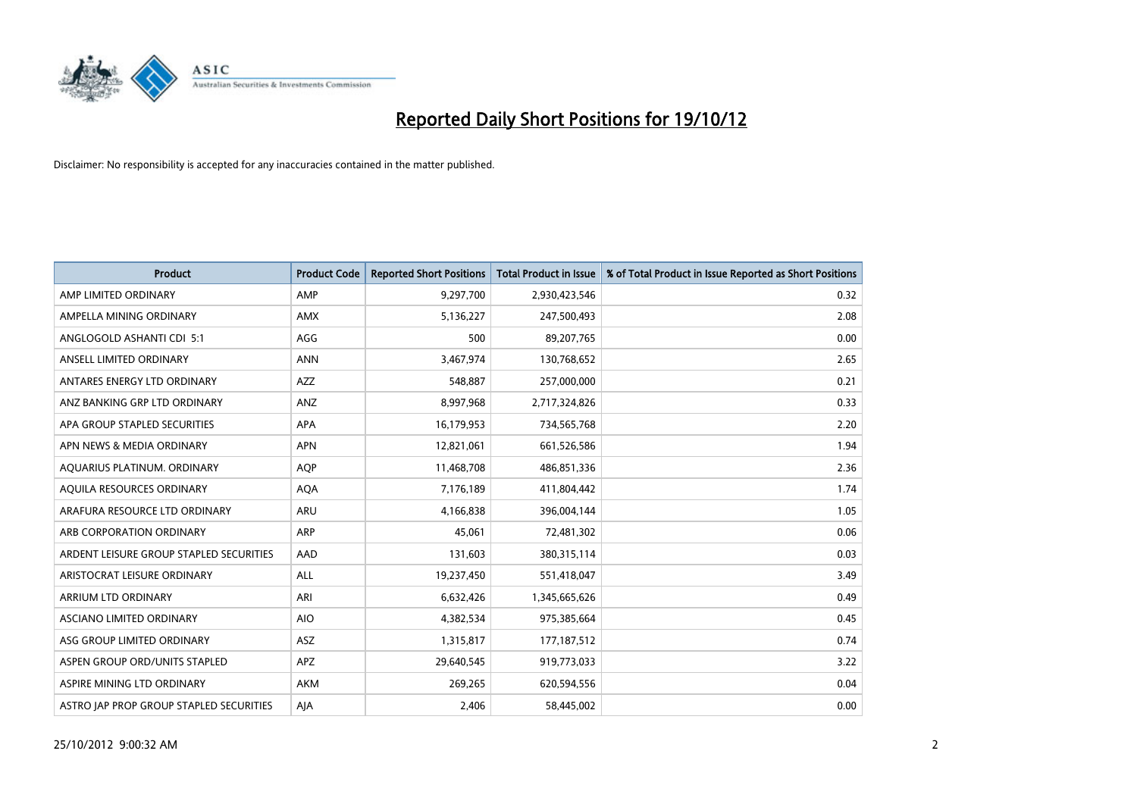

| <b>Product</b>                          | <b>Product Code</b> | <b>Reported Short Positions</b> | <b>Total Product in Issue</b> | % of Total Product in Issue Reported as Short Positions |
|-----------------------------------------|---------------------|---------------------------------|-------------------------------|---------------------------------------------------------|
| AMP LIMITED ORDINARY                    | AMP                 | 9,297,700                       | 2,930,423,546                 | 0.32                                                    |
| AMPELLA MINING ORDINARY                 | <b>AMX</b>          | 5,136,227                       | 247,500,493                   | 2.08                                                    |
| ANGLOGOLD ASHANTI CDI 5:1               | AGG                 | 500                             | 89,207,765                    | 0.00                                                    |
| ANSELL LIMITED ORDINARY                 | <b>ANN</b>          | 3,467,974                       | 130,768,652                   | 2.65                                                    |
| ANTARES ENERGY LTD ORDINARY             | <b>AZZ</b>          | 548,887                         | 257,000,000                   | 0.21                                                    |
| ANZ BANKING GRP LTD ORDINARY            | ANZ                 | 8,997,968                       | 2,717,324,826                 | 0.33                                                    |
| APA GROUP STAPLED SECURITIES            | <b>APA</b>          | 16,179,953                      | 734,565,768                   | 2.20                                                    |
| APN NEWS & MEDIA ORDINARY               | <b>APN</b>          | 12,821,061                      | 661,526,586                   | 1.94                                                    |
| AQUARIUS PLATINUM. ORDINARY             | <b>AOP</b>          | 11,468,708                      | 486,851,336                   | 2.36                                                    |
| AQUILA RESOURCES ORDINARY               | <b>AQA</b>          | 7,176,189                       | 411,804,442                   | 1.74                                                    |
| ARAFURA RESOURCE LTD ORDINARY           | <b>ARU</b>          | 4,166,838                       | 396,004,144                   | 1.05                                                    |
| ARB CORPORATION ORDINARY                | <b>ARP</b>          | 45,061                          | 72,481,302                    | 0.06                                                    |
| ARDENT LEISURE GROUP STAPLED SECURITIES | AAD                 | 131,603                         | 380,315,114                   | 0.03                                                    |
| ARISTOCRAT LEISURE ORDINARY             | ALL                 | 19,237,450                      | 551,418,047                   | 3.49                                                    |
| ARRIUM LTD ORDINARY                     | ARI                 | 6,632,426                       | 1,345,665,626                 | 0.49                                                    |
| ASCIANO LIMITED ORDINARY                | <b>AIO</b>          | 4,382,534                       | 975,385,664                   | 0.45                                                    |
| ASG GROUP LIMITED ORDINARY              | <b>ASZ</b>          | 1,315,817                       | 177, 187, 512                 | 0.74                                                    |
| ASPEN GROUP ORD/UNITS STAPLED           | <b>APZ</b>          | 29,640,545                      | 919,773,033                   | 3.22                                                    |
| ASPIRE MINING LTD ORDINARY              | <b>AKM</b>          | 269,265                         | 620,594,556                   | 0.04                                                    |
| ASTRO JAP PROP GROUP STAPLED SECURITIES | AJA                 | 2,406                           | 58,445,002                    | 0.00                                                    |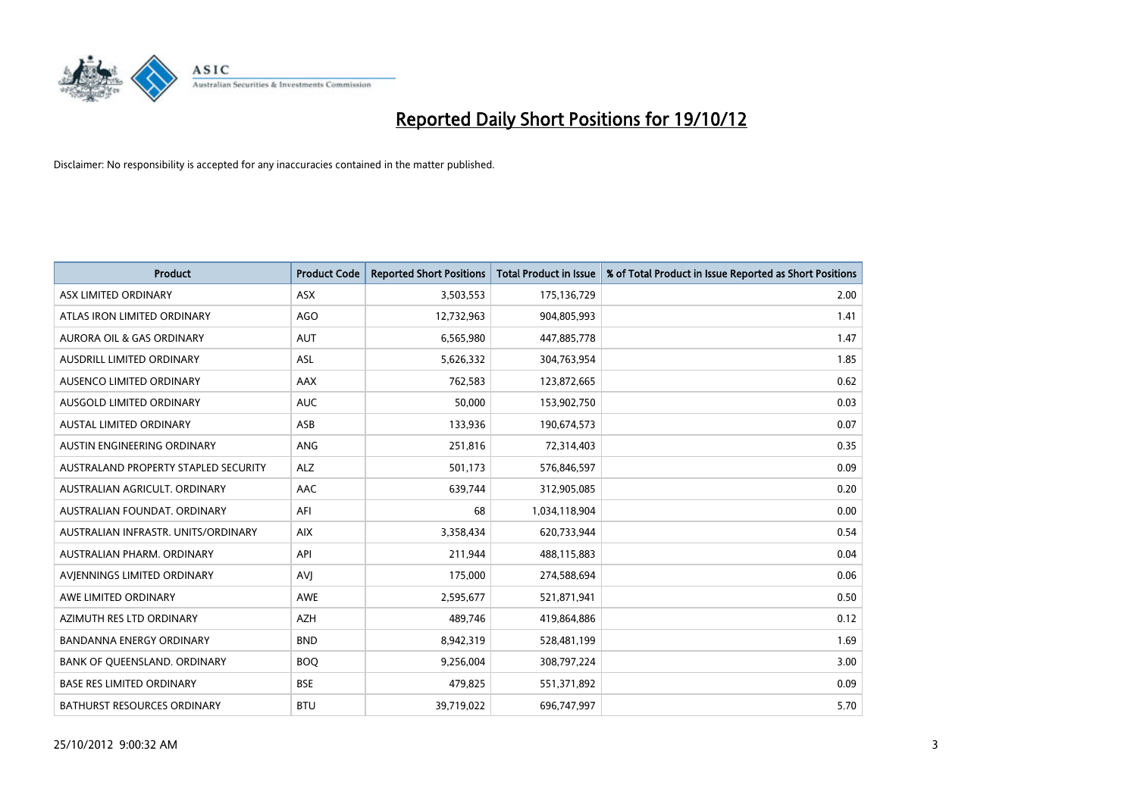

| <b>Product</b>                       | <b>Product Code</b> | <b>Reported Short Positions</b> | <b>Total Product in Issue</b> | % of Total Product in Issue Reported as Short Positions |
|--------------------------------------|---------------------|---------------------------------|-------------------------------|---------------------------------------------------------|
| ASX LIMITED ORDINARY                 | <b>ASX</b>          | 3,503,553                       | 175,136,729                   | 2.00                                                    |
| ATLAS IRON LIMITED ORDINARY          | <b>AGO</b>          | 12,732,963                      | 904,805,993                   | 1.41                                                    |
| <b>AURORA OIL &amp; GAS ORDINARY</b> | <b>AUT</b>          | 6,565,980                       | 447,885,778                   | 1.47                                                    |
| AUSDRILL LIMITED ORDINARY            | ASL                 | 5,626,332                       | 304,763,954                   | 1.85                                                    |
| AUSENCO LIMITED ORDINARY             | <b>AAX</b>          | 762,583                         | 123,872,665                   | 0.62                                                    |
| AUSGOLD LIMITED ORDINARY             | <b>AUC</b>          | 50,000                          | 153,902,750                   | 0.03                                                    |
| AUSTAL LIMITED ORDINARY              | <b>ASB</b>          | 133,936                         | 190,674,573                   | 0.07                                                    |
| AUSTIN ENGINEERING ORDINARY          | ANG                 | 251,816                         | 72,314,403                    | 0.35                                                    |
| AUSTRALAND PROPERTY STAPLED SECURITY | <b>ALZ</b>          | 501,173                         | 576,846,597                   | 0.09                                                    |
| AUSTRALIAN AGRICULT, ORDINARY        | AAC                 | 639,744                         | 312,905,085                   | 0.20                                                    |
| AUSTRALIAN FOUNDAT. ORDINARY         | AFI                 | 68                              | 1,034,118,904                 | 0.00                                                    |
| AUSTRALIAN INFRASTR, UNITS/ORDINARY  | <b>AIX</b>          | 3,358,434                       | 620,733,944                   | 0.54                                                    |
| AUSTRALIAN PHARM. ORDINARY           | API                 | 211,944                         | 488,115,883                   | 0.04                                                    |
| AVIENNINGS LIMITED ORDINARY          | AVI                 | 175,000                         | 274,588,694                   | 0.06                                                    |
| AWE LIMITED ORDINARY                 | <b>AWE</b>          | 2,595,677                       | 521,871,941                   | 0.50                                                    |
| AZIMUTH RES LTD ORDINARY             | <b>AZH</b>          | 489,746                         | 419,864,886                   | 0.12                                                    |
| BANDANNA ENERGY ORDINARY             | <b>BND</b>          | 8,942,319                       | 528,481,199                   | 1.69                                                    |
| BANK OF QUEENSLAND. ORDINARY         | <b>BOO</b>          | 9,256,004                       | 308,797,224                   | 3.00                                                    |
| <b>BASE RES LIMITED ORDINARY</b>     | <b>BSE</b>          | 479,825                         | 551,371,892                   | 0.09                                                    |
| <b>BATHURST RESOURCES ORDINARY</b>   | <b>BTU</b>          | 39,719,022                      | 696,747,997                   | 5.70                                                    |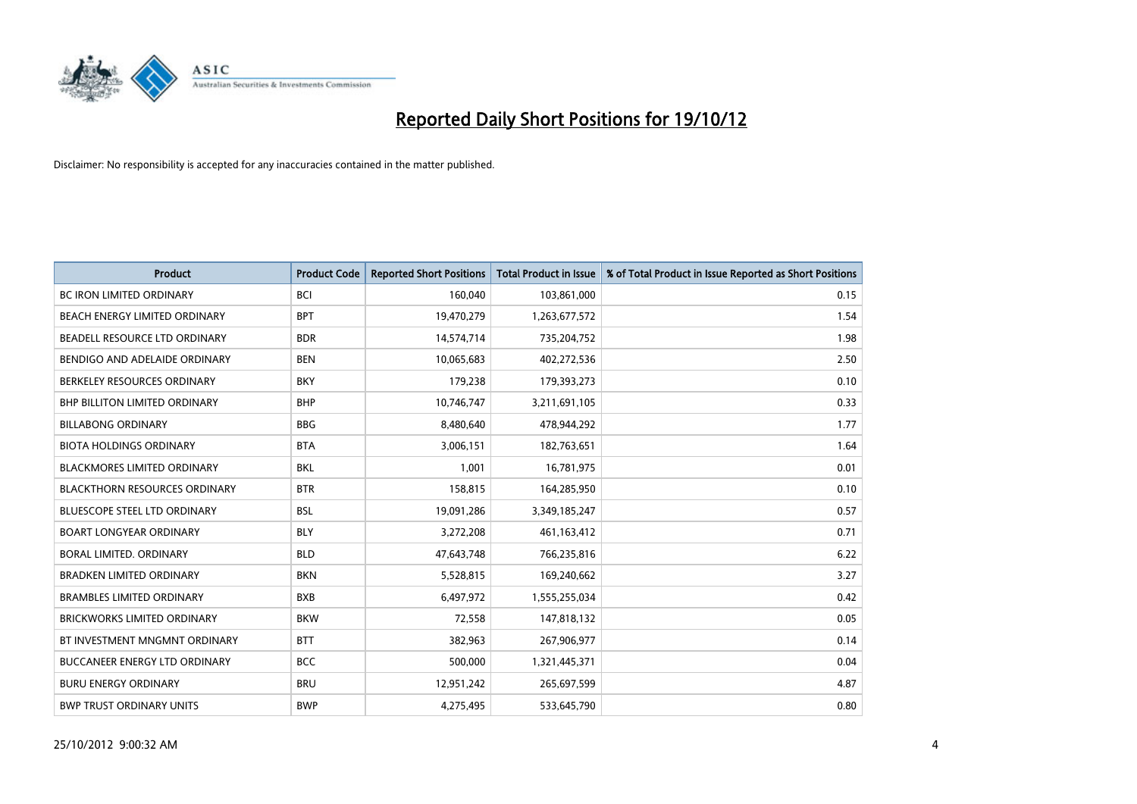

| <b>Product</b>                       | <b>Product Code</b> | <b>Reported Short Positions</b> | <b>Total Product in Issue</b> | % of Total Product in Issue Reported as Short Positions |
|--------------------------------------|---------------------|---------------------------------|-------------------------------|---------------------------------------------------------|
| <b>BC IRON LIMITED ORDINARY</b>      | <b>BCI</b>          | 160,040                         | 103,861,000                   | 0.15                                                    |
| BEACH ENERGY LIMITED ORDINARY        | <b>BPT</b>          | 19,470,279                      | 1,263,677,572                 | 1.54                                                    |
| BEADELL RESOURCE LTD ORDINARY        | <b>BDR</b>          | 14,574,714                      | 735,204,752                   | 1.98                                                    |
| BENDIGO AND ADELAIDE ORDINARY        | <b>BEN</b>          | 10,065,683                      | 402,272,536                   | 2.50                                                    |
| BERKELEY RESOURCES ORDINARY          | <b>BKY</b>          | 179,238                         | 179,393,273                   | 0.10                                                    |
| <b>BHP BILLITON LIMITED ORDINARY</b> | <b>BHP</b>          | 10,746,747                      | 3,211,691,105                 | 0.33                                                    |
| <b>BILLABONG ORDINARY</b>            | <b>BBG</b>          | 8,480,640                       | 478,944,292                   | 1.77                                                    |
| <b>BIOTA HOLDINGS ORDINARY</b>       | <b>BTA</b>          | 3,006,151                       | 182,763,651                   | 1.64                                                    |
| BLACKMORES LIMITED ORDINARY          | <b>BKL</b>          | 1,001                           | 16,781,975                    | 0.01                                                    |
| <b>BLACKTHORN RESOURCES ORDINARY</b> | <b>BTR</b>          | 158,815                         | 164,285,950                   | 0.10                                                    |
| BLUESCOPE STEEL LTD ORDINARY         | <b>BSL</b>          | 19,091,286                      | 3,349,185,247                 | 0.57                                                    |
| <b>BOART LONGYEAR ORDINARY</b>       | <b>BLY</b>          | 3,272,208                       | 461,163,412                   | 0.71                                                    |
| BORAL LIMITED, ORDINARY              | <b>BLD</b>          | 47,643,748                      | 766,235,816                   | 6.22                                                    |
| <b>BRADKEN LIMITED ORDINARY</b>      | <b>BKN</b>          | 5,528,815                       | 169,240,662                   | 3.27                                                    |
| <b>BRAMBLES LIMITED ORDINARY</b>     | <b>BXB</b>          | 6,497,972                       | 1,555,255,034                 | 0.42                                                    |
| BRICKWORKS LIMITED ORDINARY          | <b>BKW</b>          | 72,558                          | 147,818,132                   | 0.05                                                    |
| BT INVESTMENT MNGMNT ORDINARY        | <b>BTT</b>          | 382,963                         | 267,906,977                   | 0.14                                                    |
| <b>BUCCANEER ENERGY LTD ORDINARY</b> | <b>BCC</b>          | 500,000                         | 1,321,445,371                 | 0.04                                                    |
| <b>BURU ENERGY ORDINARY</b>          | <b>BRU</b>          | 12,951,242                      | 265,697,599                   | 4.87                                                    |
| <b>BWP TRUST ORDINARY UNITS</b>      | <b>BWP</b>          | 4.275.495                       | 533,645,790                   | 0.80                                                    |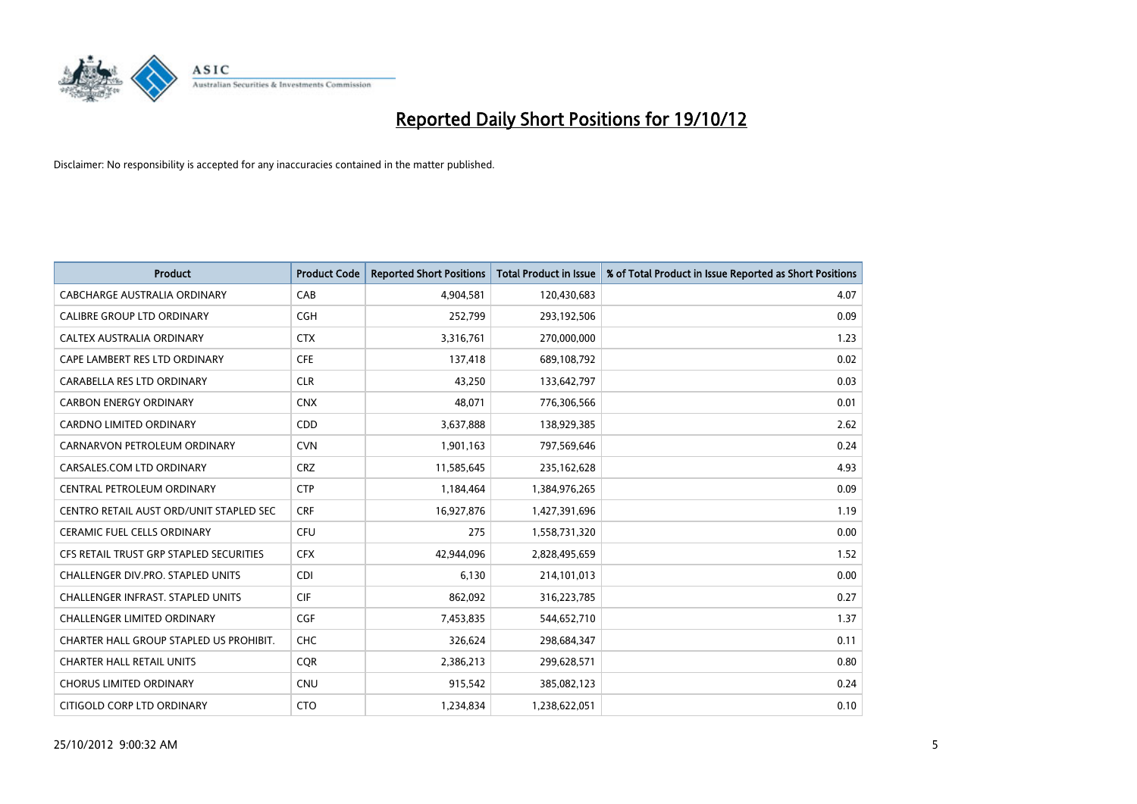

| <b>Product</b>                           | <b>Product Code</b> | <b>Reported Short Positions</b> | <b>Total Product in Issue</b> | % of Total Product in Issue Reported as Short Positions |
|------------------------------------------|---------------------|---------------------------------|-------------------------------|---------------------------------------------------------|
| CABCHARGE AUSTRALIA ORDINARY             | CAB                 | 4,904,581                       | 120,430,683                   | 4.07                                                    |
| CALIBRE GROUP LTD ORDINARY               | <b>CGH</b>          | 252,799                         | 293,192,506                   | 0.09                                                    |
| <b>CALTEX AUSTRALIA ORDINARY</b>         | <b>CTX</b>          | 3,316,761                       | 270,000,000                   | 1.23                                                    |
| CAPE LAMBERT RES LTD ORDINARY            | <b>CFE</b>          | 137,418                         | 689,108,792                   | 0.02                                                    |
| CARABELLA RES LTD ORDINARY               | <b>CLR</b>          | 43,250                          | 133,642,797                   | 0.03                                                    |
| <b>CARBON ENERGY ORDINARY</b>            | <b>CNX</b>          | 48,071                          | 776,306,566                   | 0.01                                                    |
| <b>CARDNO LIMITED ORDINARY</b>           | <b>CDD</b>          | 3,637,888                       | 138,929,385                   | 2.62                                                    |
| CARNARVON PETROLEUM ORDINARY             | <b>CVN</b>          | 1,901,163                       | 797,569,646                   | 0.24                                                    |
| CARSALES.COM LTD ORDINARY                | <b>CRZ</b>          | 11,585,645                      | 235, 162, 628                 | 4.93                                                    |
| CENTRAL PETROLEUM ORDINARY               | <b>CTP</b>          | 1,184,464                       | 1,384,976,265                 | 0.09                                                    |
| CENTRO RETAIL AUST ORD/UNIT STAPLED SEC  | <b>CRF</b>          | 16,927,876                      | 1,427,391,696                 | 1.19                                                    |
| <b>CERAMIC FUEL CELLS ORDINARY</b>       | <b>CFU</b>          | 275                             | 1,558,731,320                 | 0.00                                                    |
| CFS RETAIL TRUST GRP STAPLED SECURITIES  | <b>CFX</b>          | 42,944,096                      | 2,828,495,659                 | 1.52                                                    |
| CHALLENGER DIV.PRO. STAPLED UNITS        | <b>CDI</b>          | 6,130                           | 214,101,013                   | 0.00                                                    |
| <b>CHALLENGER INFRAST, STAPLED UNITS</b> | CIF                 | 862,092                         | 316,223,785                   | 0.27                                                    |
| CHALLENGER LIMITED ORDINARY              | <b>CGF</b>          | 7,453,835                       | 544,652,710                   | 1.37                                                    |
| CHARTER HALL GROUP STAPLED US PROHIBIT.  | <b>CHC</b>          | 326,624                         | 298,684,347                   | 0.11                                                    |
| <b>CHARTER HALL RETAIL UNITS</b>         | <b>CQR</b>          | 2,386,213                       | 299,628,571                   | 0.80                                                    |
| <b>CHORUS LIMITED ORDINARY</b>           | <b>CNU</b>          | 915,542                         | 385,082,123                   | 0.24                                                    |
| CITIGOLD CORP LTD ORDINARY               | <b>CTO</b>          | 1,234,834                       | 1,238,622,051                 | 0.10                                                    |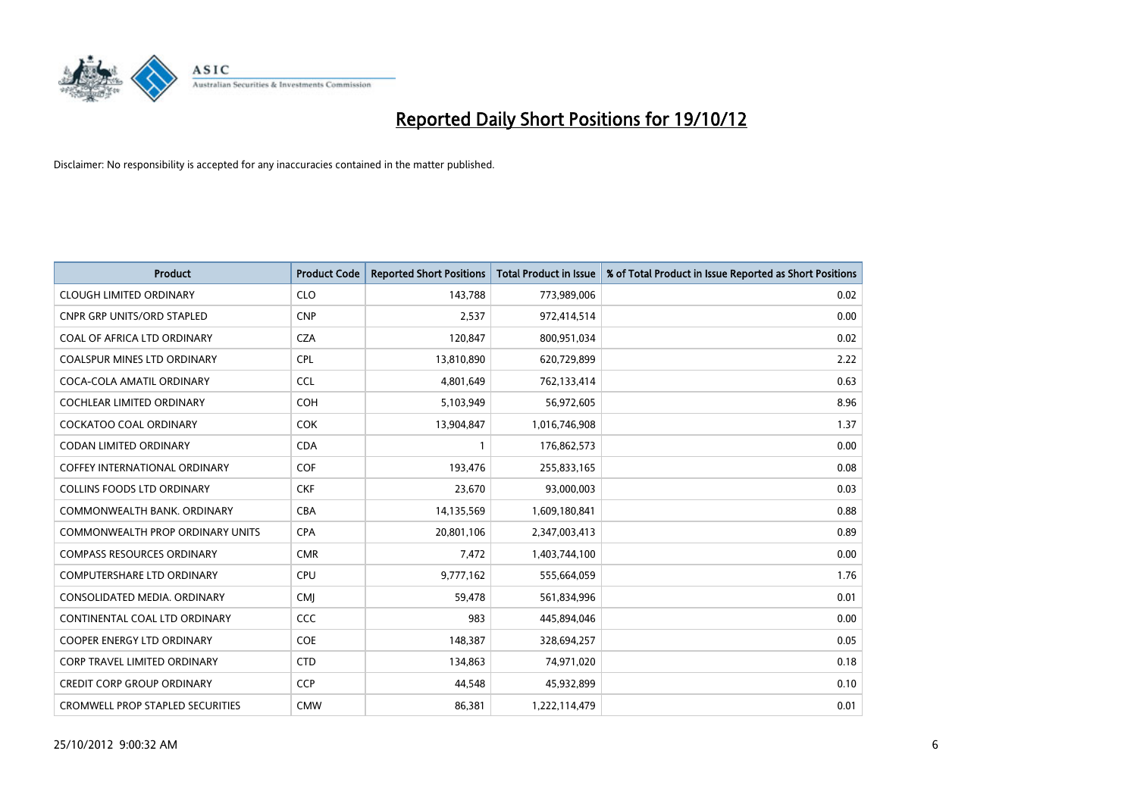

| <b>Product</b>                          | <b>Product Code</b> | <b>Reported Short Positions</b> | <b>Total Product in Issue</b> | % of Total Product in Issue Reported as Short Positions |
|-----------------------------------------|---------------------|---------------------------------|-------------------------------|---------------------------------------------------------|
| <b>CLOUGH LIMITED ORDINARY</b>          | <b>CLO</b>          | 143,788                         | 773,989,006                   | 0.02                                                    |
| CNPR GRP UNITS/ORD STAPLED              | <b>CNP</b>          | 2,537                           | 972,414,514                   | 0.00                                                    |
| COAL OF AFRICA LTD ORDINARY             | <b>CZA</b>          | 120,847                         | 800,951,034                   | 0.02                                                    |
| COALSPUR MINES LTD ORDINARY             | <b>CPL</b>          | 13,810,890                      | 620,729,899                   | 2.22                                                    |
| COCA-COLA AMATIL ORDINARY               | <b>CCL</b>          | 4,801,649                       | 762,133,414                   | 0.63                                                    |
| <b>COCHLEAR LIMITED ORDINARY</b>        | <b>COH</b>          | 5,103,949                       | 56,972,605                    | 8.96                                                    |
| <b>COCKATOO COAL ORDINARY</b>           | <b>COK</b>          | 13,904,847                      | 1,016,746,908                 | 1.37                                                    |
| <b>CODAN LIMITED ORDINARY</b>           | <b>CDA</b>          |                                 | 176,862,573                   | 0.00                                                    |
| COFFEY INTERNATIONAL ORDINARY           | <b>COF</b>          | 193,476                         | 255,833,165                   | 0.08                                                    |
| <b>COLLINS FOODS LTD ORDINARY</b>       | <b>CKF</b>          | 23,670                          | 93,000,003                    | 0.03                                                    |
| COMMONWEALTH BANK, ORDINARY             | <b>CBA</b>          | 14,135,569                      | 1,609,180,841                 | 0.88                                                    |
| <b>COMMONWEALTH PROP ORDINARY UNITS</b> | <b>CPA</b>          | 20,801,106                      | 2,347,003,413                 | 0.89                                                    |
| <b>COMPASS RESOURCES ORDINARY</b>       | <b>CMR</b>          | 7,472                           | 1,403,744,100                 | 0.00                                                    |
| <b>COMPUTERSHARE LTD ORDINARY</b>       | <b>CPU</b>          | 9,777,162                       | 555,664,059                   | 1.76                                                    |
| CONSOLIDATED MEDIA, ORDINARY            | <b>CMJ</b>          | 59,478                          | 561,834,996                   | 0.01                                                    |
| CONTINENTAL COAL LTD ORDINARY           | CCC                 | 983                             | 445,894,046                   | 0.00                                                    |
| <b>COOPER ENERGY LTD ORDINARY</b>       | <b>COE</b>          | 148,387                         | 328,694,257                   | 0.05                                                    |
| <b>CORP TRAVEL LIMITED ORDINARY</b>     | <b>CTD</b>          | 134,863                         | 74,971,020                    | 0.18                                                    |
| <b>CREDIT CORP GROUP ORDINARY</b>       | <b>CCP</b>          | 44.548                          | 45,932,899                    | 0.10                                                    |
| <b>CROMWELL PROP STAPLED SECURITIES</b> | <b>CMW</b>          | 86.381                          | 1,222,114,479                 | 0.01                                                    |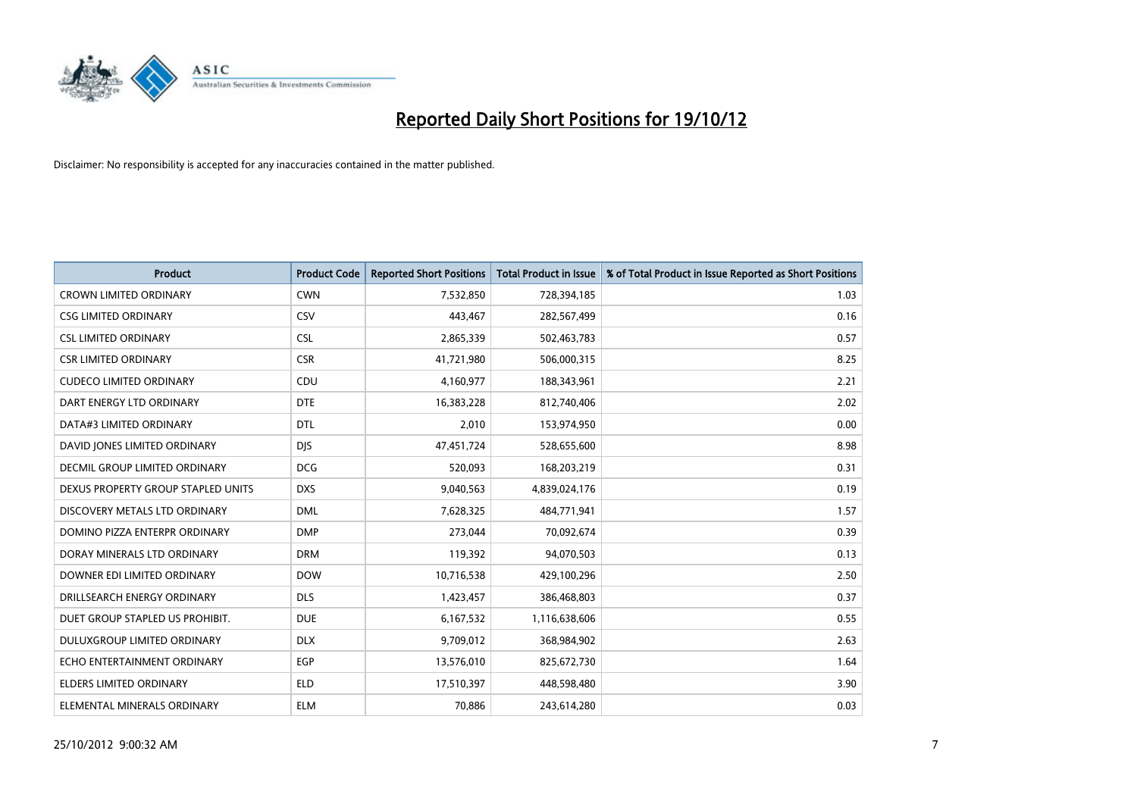

| <b>Product</b>                     | <b>Product Code</b> | <b>Reported Short Positions</b> | <b>Total Product in Issue</b> | % of Total Product in Issue Reported as Short Positions |
|------------------------------------|---------------------|---------------------------------|-------------------------------|---------------------------------------------------------|
| <b>CROWN LIMITED ORDINARY</b>      | <b>CWN</b>          | 7,532,850                       | 728,394,185                   | 1.03                                                    |
| <b>CSG LIMITED ORDINARY</b>        | CSV                 | 443,467                         | 282,567,499                   | 0.16                                                    |
| <b>CSL LIMITED ORDINARY</b>        | <b>CSL</b>          | 2,865,339                       | 502,463,783                   | 0.57                                                    |
| <b>CSR LIMITED ORDINARY</b>        | <b>CSR</b>          | 41,721,980                      | 506,000,315                   | 8.25                                                    |
| <b>CUDECO LIMITED ORDINARY</b>     | CDU                 | 4,160,977                       | 188,343,961                   | 2.21                                                    |
| DART ENERGY LTD ORDINARY           | <b>DTE</b>          | 16,383,228                      | 812,740,406                   | 2.02                                                    |
| DATA#3 LIMITED ORDINARY            | <b>DTL</b>          | 2,010                           | 153,974,950                   | 0.00                                                    |
| DAVID JONES LIMITED ORDINARY       | <b>DJS</b>          | 47,451,724                      | 528,655,600                   | 8.98                                                    |
| DECMIL GROUP LIMITED ORDINARY      | <b>DCG</b>          | 520,093                         | 168,203,219                   | 0.31                                                    |
| DEXUS PROPERTY GROUP STAPLED UNITS | <b>DXS</b>          | 9,040,563                       | 4,839,024,176                 | 0.19                                                    |
| DISCOVERY METALS LTD ORDINARY      | <b>DML</b>          | 7,628,325                       | 484,771,941                   | 1.57                                                    |
| DOMINO PIZZA ENTERPR ORDINARY      | <b>DMP</b>          | 273,044                         | 70,092,674                    | 0.39                                                    |
| DORAY MINERALS LTD ORDINARY        | <b>DRM</b>          | 119,392                         | 94,070,503                    | 0.13                                                    |
| DOWNER EDI LIMITED ORDINARY        | <b>DOW</b>          | 10,716,538                      | 429,100,296                   | 2.50                                                    |
| DRILLSEARCH ENERGY ORDINARY        | <b>DLS</b>          | 1,423,457                       | 386,468,803                   | 0.37                                                    |
| DUET GROUP STAPLED US PROHIBIT.    | <b>DUE</b>          | 6,167,532                       | 1,116,638,606                 | 0.55                                                    |
| <b>DULUXGROUP LIMITED ORDINARY</b> | <b>DLX</b>          | 9,709,012                       | 368,984,902                   | 2.63                                                    |
| ECHO ENTERTAINMENT ORDINARY        | <b>EGP</b>          | 13,576,010                      | 825,672,730                   | 1.64                                                    |
| <b>ELDERS LIMITED ORDINARY</b>     | <b>ELD</b>          | 17,510,397                      | 448,598,480                   | 3.90                                                    |
| ELEMENTAL MINERALS ORDINARY        | <b>ELM</b>          | 70.886                          | 243,614,280                   | 0.03                                                    |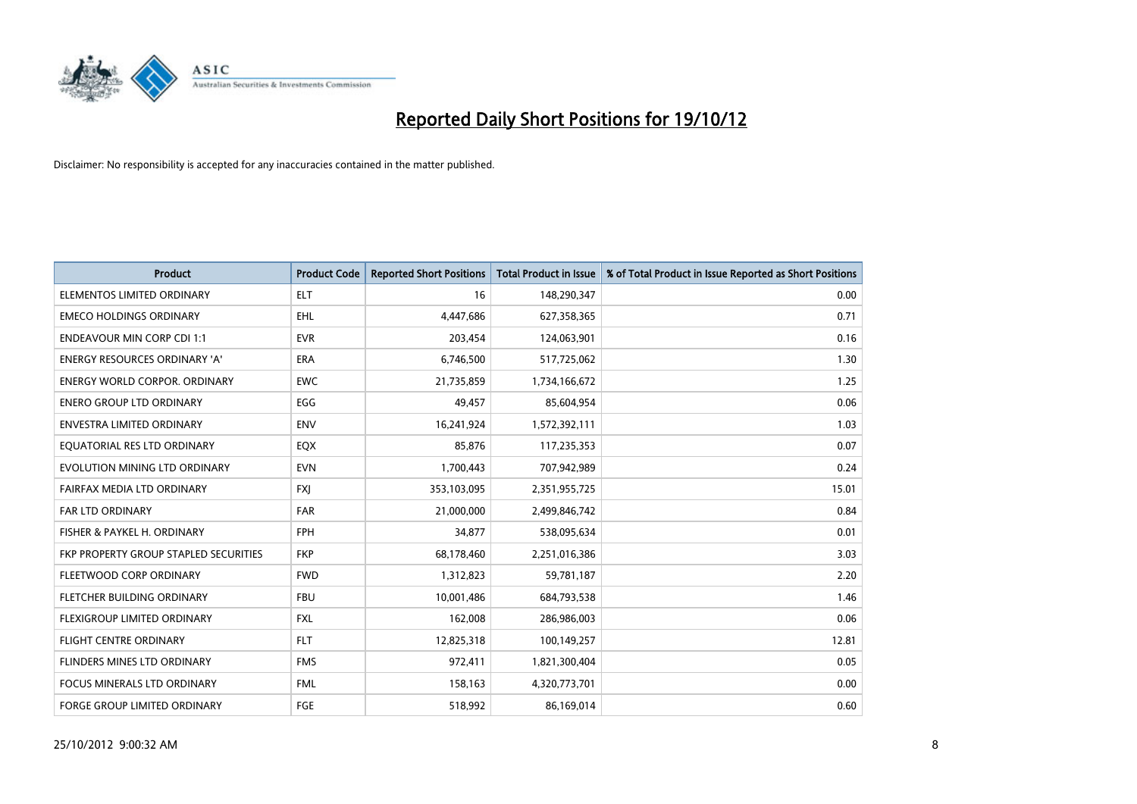

| <b>Product</b>                        | <b>Product Code</b> | <b>Reported Short Positions</b> | <b>Total Product in Issue</b> | % of Total Product in Issue Reported as Short Positions |
|---------------------------------------|---------------------|---------------------------------|-------------------------------|---------------------------------------------------------|
| ELEMENTOS LIMITED ORDINARY            | <b>ELT</b>          | 16                              | 148,290,347                   | 0.00                                                    |
| <b>EMECO HOLDINGS ORDINARY</b>        | <b>EHL</b>          | 4,447,686                       | 627,358,365                   | 0.71                                                    |
| <b>ENDEAVOUR MIN CORP CDI 1:1</b>     | <b>EVR</b>          | 203,454                         | 124,063,901                   | 0.16                                                    |
| ENERGY RESOURCES ORDINARY 'A'         | ERA                 | 6,746,500                       | 517,725,062                   | 1.30                                                    |
| <b>ENERGY WORLD CORPOR, ORDINARY</b>  | <b>EWC</b>          | 21,735,859                      | 1,734,166,672                 | 1.25                                                    |
| <b>ENERO GROUP LTD ORDINARY</b>       | EGG                 | 49,457                          | 85,604,954                    | 0.06                                                    |
| <b>ENVESTRA LIMITED ORDINARY</b>      | <b>ENV</b>          | 16,241,924                      | 1,572,392,111                 | 1.03                                                    |
| EQUATORIAL RES LTD ORDINARY           | EQX                 | 85,876                          | 117,235,353                   | 0.07                                                    |
| EVOLUTION MINING LTD ORDINARY         | <b>EVN</b>          | 1,700,443                       | 707,942,989                   | 0.24                                                    |
| FAIRFAX MEDIA LTD ORDINARY            | <b>FXI</b>          | 353,103,095                     | 2,351,955,725                 | 15.01                                                   |
| FAR LTD ORDINARY                      | <b>FAR</b>          | 21,000,000                      | 2,499,846,742                 | 0.84                                                    |
| FISHER & PAYKEL H. ORDINARY           | <b>FPH</b>          | 34,877                          | 538,095,634                   | 0.01                                                    |
| FKP PROPERTY GROUP STAPLED SECURITIES | <b>FKP</b>          | 68,178,460                      | 2,251,016,386                 | 3.03                                                    |
| FLEETWOOD CORP ORDINARY               | <b>FWD</b>          | 1,312,823                       | 59,781,187                    | 2.20                                                    |
| FLETCHER BUILDING ORDINARY            | <b>FBU</b>          | 10,001,486                      | 684,793,538                   | 1.46                                                    |
| FLEXIGROUP LIMITED ORDINARY           | <b>FXL</b>          | 162,008                         | 286,986,003                   | 0.06                                                    |
| <b>FLIGHT CENTRE ORDINARY</b>         | <b>FLT</b>          | 12,825,318                      | 100,149,257                   | 12.81                                                   |
| FLINDERS MINES LTD ORDINARY           | <b>FMS</b>          | 972,411                         | 1,821,300,404                 | 0.05                                                    |
| <b>FOCUS MINERALS LTD ORDINARY</b>    | <b>FML</b>          | 158,163                         | 4,320,773,701                 | 0.00                                                    |
| <b>FORGE GROUP LIMITED ORDINARY</b>   | FGE                 | 518,992                         | 86,169,014                    | 0.60                                                    |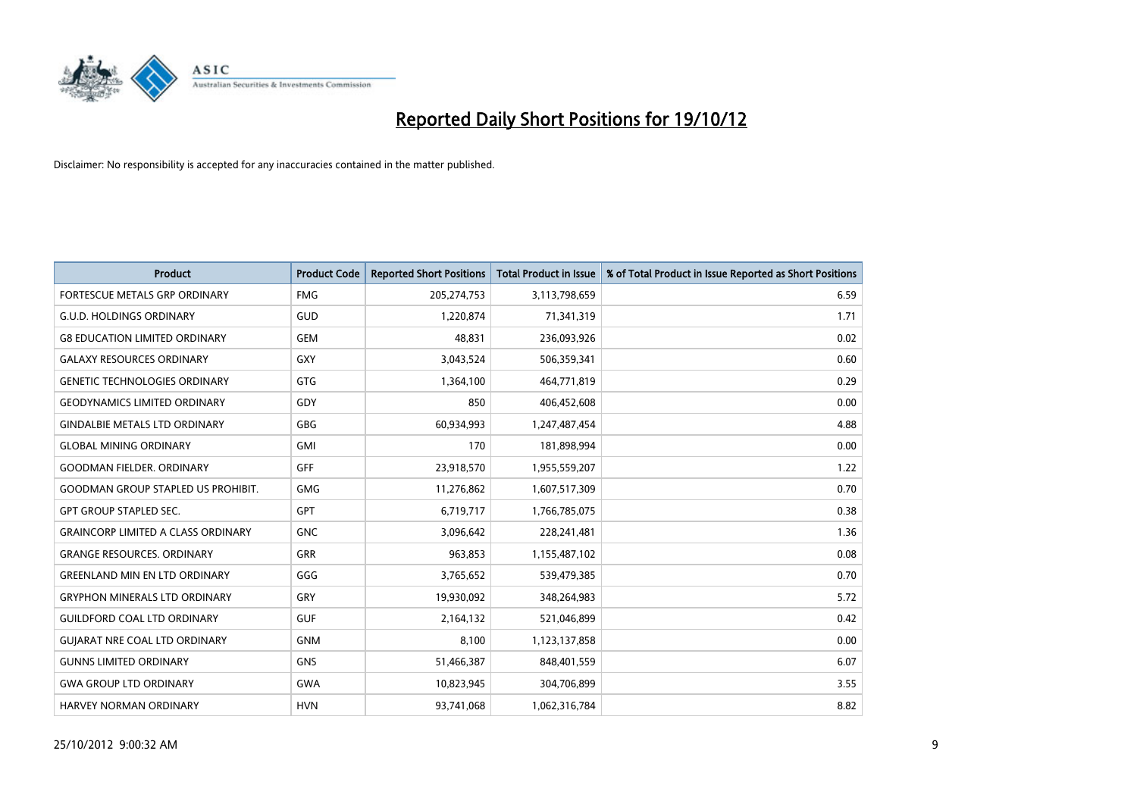

| <b>Product</b>                            | <b>Product Code</b> | <b>Reported Short Positions</b> | <b>Total Product in Issue</b> | % of Total Product in Issue Reported as Short Positions |
|-------------------------------------------|---------------------|---------------------------------|-------------------------------|---------------------------------------------------------|
| <b>FORTESCUE METALS GRP ORDINARY</b>      | <b>FMG</b>          | 205,274,753                     | 3,113,798,659                 | 6.59                                                    |
| <b>G.U.D. HOLDINGS ORDINARY</b>           | GUD                 | 1,220,874                       | 71,341,319                    | 1.71                                                    |
| <b>G8 EDUCATION LIMITED ORDINARY</b>      | <b>GEM</b>          | 48,831                          | 236,093,926                   | 0.02                                                    |
| <b>GALAXY RESOURCES ORDINARY</b>          | <b>GXY</b>          | 3,043,524                       | 506,359,341                   | 0.60                                                    |
| <b>GENETIC TECHNOLOGIES ORDINARY</b>      | <b>GTG</b>          | 1,364,100                       | 464,771,819                   | 0.29                                                    |
| <b>GEODYNAMICS LIMITED ORDINARY</b>       | GDY                 | 850                             | 406,452,608                   | 0.00                                                    |
| <b>GINDALBIE METALS LTD ORDINARY</b>      | <b>GBG</b>          | 60,934,993                      | 1,247,487,454                 | 4.88                                                    |
| <b>GLOBAL MINING ORDINARY</b>             | <b>GMI</b>          | 170                             | 181,898,994                   | 0.00                                                    |
| <b>GOODMAN FIELDER, ORDINARY</b>          | <b>GFF</b>          | 23,918,570                      | 1,955,559,207                 | 1.22                                                    |
| <b>GOODMAN GROUP STAPLED US PROHIBIT.</b> | <b>GMG</b>          | 11,276,862                      | 1,607,517,309                 | 0.70                                                    |
| <b>GPT GROUP STAPLED SEC.</b>             | <b>GPT</b>          | 6,719,717                       | 1,766,785,075                 | 0.38                                                    |
| <b>GRAINCORP LIMITED A CLASS ORDINARY</b> | <b>GNC</b>          | 3,096,642                       | 228,241,481                   | 1.36                                                    |
| <b>GRANGE RESOURCES, ORDINARY</b>         | <b>GRR</b>          | 963,853                         | 1,155,487,102                 | 0.08                                                    |
| <b>GREENLAND MIN EN LTD ORDINARY</b>      | GGG                 | 3,765,652                       | 539,479,385                   | 0.70                                                    |
| <b>GRYPHON MINERALS LTD ORDINARY</b>      | GRY                 | 19,930,092                      | 348,264,983                   | 5.72                                                    |
| <b>GUILDFORD COAL LTD ORDINARY</b>        | <b>GUF</b>          | 2,164,132                       | 521,046,899                   | 0.42                                                    |
| <b>GUIARAT NRE COAL LTD ORDINARY</b>      | <b>GNM</b>          | 8,100                           | 1,123,137,858                 | 0.00                                                    |
| <b>GUNNS LIMITED ORDINARY</b>             | <b>GNS</b>          | 51,466,387                      | 848,401,559                   | 6.07                                                    |
| <b>GWA GROUP LTD ORDINARY</b>             | <b>GWA</b>          | 10,823,945                      | 304,706,899                   | 3.55                                                    |
| <b>HARVEY NORMAN ORDINARY</b>             | <b>HVN</b>          | 93,741,068                      | 1,062,316,784                 | 8.82                                                    |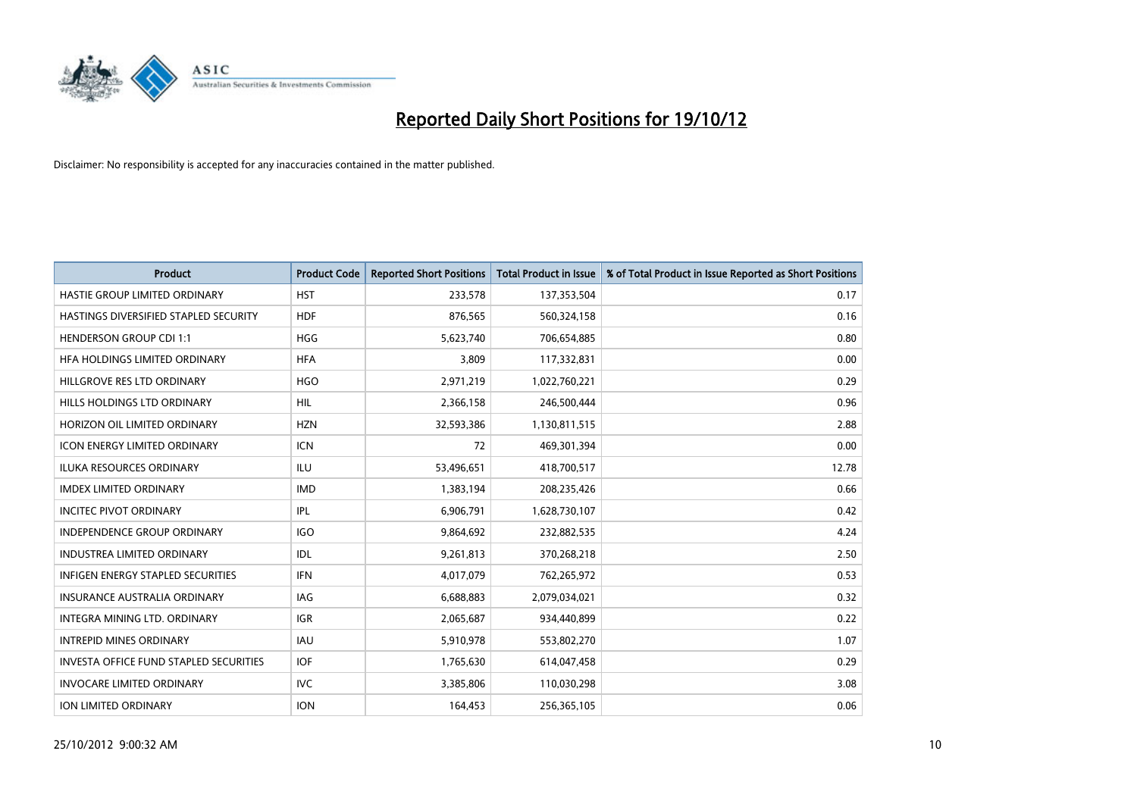

| <b>Product</b>                                | <b>Product Code</b> | <b>Reported Short Positions</b> | <b>Total Product in Issue</b> | % of Total Product in Issue Reported as Short Positions |
|-----------------------------------------------|---------------------|---------------------------------|-------------------------------|---------------------------------------------------------|
| HASTIE GROUP LIMITED ORDINARY                 | <b>HST</b>          | 233,578                         | 137,353,504                   | 0.17                                                    |
| <b>HASTINGS DIVERSIFIED STAPLED SECURITY</b>  | <b>HDF</b>          | 876,565                         | 560,324,158                   | 0.16                                                    |
| <b>HENDERSON GROUP CDI 1:1</b>                | <b>HGG</b>          | 5,623,740                       | 706,654,885                   | 0.80                                                    |
| HFA HOLDINGS LIMITED ORDINARY                 | <b>HFA</b>          | 3,809                           | 117,332,831                   | 0.00                                                    |
| HILLGROVE RES LTD ORDINARY                    | <b>HGO</b>          | 2,971,219                       | 1,022,760,221                 | 0.29                                                    |
| HILLS HOLDINGS LTD ORDINARY                   | <b>HIL</b>          | 2,366,158                       | 246,500,444                   | 0.96                                                    |
| HORIZON OIL LIMITED ORDINARY                  | <b>HZN</b>          | 32,593,386                      | 1,130,811,515                 | 2.88                                                    |
| ICON ENERGY LIMITED ORDINARY                  | <b>ICN</b>          | 72                              | 469,301,394                   | 0.00                                                    |
| <b>ILUKA RESOURCES ORDINARY</b>               | ILU                 | 53,496,651                      | 418,700,517                   | 12.78                                                   |
| <b>IMDEX LIMITED ORDINARY</b>                 | <b>IMD</b>          | 1,383,194                       | 208,235,426                   | 0.66                                                    |
| <b>INCITEC PIVOT ORDINARY</b>                 | IPL                 | 6,906,791                       | 1,628,730,107                 | 0.42                                                    |
| <b>INDEPENDENCE GROUP ORDINARY</b>            | <b>IGO</b>          | 9,864,692                       | 232,882,535                   | 4.24                                                    |
| INDUSTREA LIMITED ORDINARY                    | IDL                 | 9,261,813                       | 370,268,218                   | 2.50                                                    |
| <b>INFIGEN ENERGY STAPLED SECURITIES</b>      | <b>IFN</b>          | 4,017,079                       | 762,265,972                   | 0.53                                                    |
| <b>INSURANCE AUSTRALIA ORDINARY</b>           | IAG                 | 6,688,883                       | 2,079,034,021                 | 0.32                                                    |
| INTEGRA MINING LTD. ORDINARY                  | <b>IGR</b>          | 2,065,687                       | 934,440,899                   | 0.22                                                    |
| <b>INTREPID MINES ORDINARY</b>                | <b>IAU</b>          | 5,910,978                       | 553,802,270                   | 1.07                                                    |
| <b>INVESTA OFFICE FUND STAPLED SECURITIES</b> | <b>IOF</b>          | 1,765,630                       | 614,047,458                   | 0.29                                                    |
| <b>INVOCARE LIMITED ORDINARY</b>              | IVC                 | 3,385,806                       | 110,030,298                   | 3.08                                                    |
| <b>ION LIMITED ORDINARY</b>                   | <b>ION</b>          | 164,453                         | 256,365,105                   | 0.06                                                    |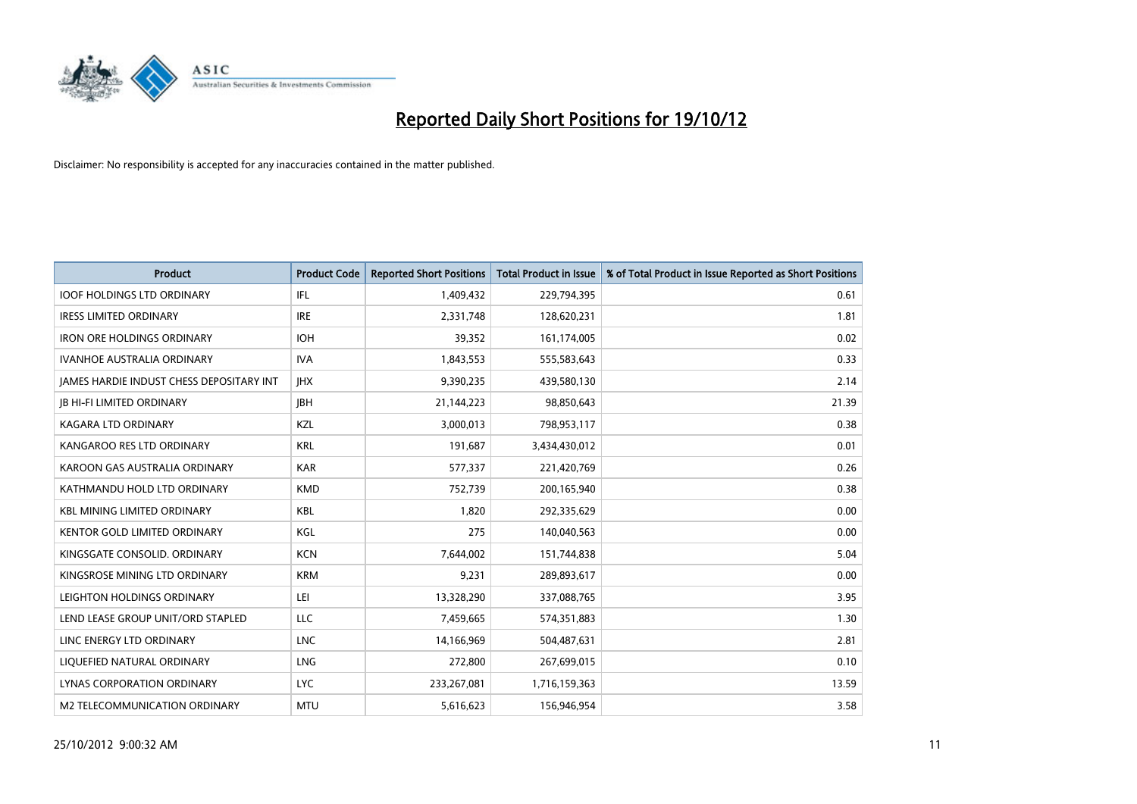

| <b>Product</b>                                  | <b>Product Code</b> | <b>Reported Short Positions</b> | <b>Total Product in Issue</b> | % of Total Product in Issue Reported as Short Positions |
|-------------------------------------------------|---------------------|---------------------------------|-------------------------------|---------------------------------------------------------|
| <b>IOOF HOLDINGS LTD ORDINARY</b>               | IFL                 | 1,409,432                       | 229,794,395                   | 0.61                                                    |
| <b>IRESS LIMITED ORDINARY</b>                   | <b>IRE</b>          | 2,331,748                       | 128,620,231                   | 1.81                                                    |
| <b>IRON ORE HOLDINGS ORDINARY</b>               | <b>IOH</b>          | 39,352                          | 161,174,005                   | 0.02                                                    |
| IVANHOE AUSTRALIA ORDINARY                      | <b>IVA</b>          | 1,843,553                       | 555,583,643                   | 0.33                                                    |
| <b>IAMES HARDIE INDUST CHESS DEPOSITARY INT</b> | <b>IHX</b>          | 9,390,235                       | 439,580,130                   | 2.14                                                    |
| <b>JB HI-FI LIMITED ORDINARY</b>                | <b>IBH</b>          | 21,144,223                      | 98,850,643                    | 21.39                                                   |
| <b>KAGARA LTD ORDINARY</b>                      | <b>KZL</b>          | 3,000,013                       | 798,953,117                   | 0.38                                                    |
| KANGAROO RES LTD ORDINARY                       | <b>KRL</b>          | 191,687                         | 3,434,430,012                 | 0.01                                                    |
| KAROON GAS AUSTRALIA ORDINARY                   | <b>KAR</b>          | 577,337                         | 221,420,769                   | 0.26                                                    |
| KATHMANDU HOLD LTD ORDINARY                     | <b>KMD</b>          | 752,739                         | 200,165,940                   | 0.38                                                    |
| <b>KBL MINING LIMITED ORDINARY</b>              | <b>KBL</b>          | 1.820                           | 292,335,629                   | 0.00                                                    |
| <b>KENTOR GOLD LIMITED ORDINARY</b>             | KGL                 | 275                             | 140,040,563                   | 0.00                                                    |
| KINGSGATE CONSOLID. ORDINARY                    | <b>KCN</b>          | 7,644,002                       | 151,744,838                   | 5.04                                                    |
| KINGSROSE MINING LTD ORDINARY                   | <b>KRM</b>          | 9,231                           | 289,893,617                   | 0.00                                                    |
| LEIGHTON HOLDINGS ORDINARY                      | LEI                 | 13,328,290                      | 337,088,765                   | 3.95                                                    |
| LEND LEASE GROUP UNIT/ORD STAPLED               | <b>LLC</b>          | 7,459,665                       | 574,351,883                   | 1.30                                                    |
| LINC ENERGY LTD ORDINARY                        | <b>LNC</b>          | 14,166,969                      | 504,487,631                   | 2.81                                                    |
| LIQUEFIED NATURAL ORDINARY                      | <b>LNG</b>          | 272,800                         | 267,699,015                   | 0.10                                                    |
| <b>LYNAS CORPORATION ORDINARY</b>               | <b>LYC</b>          | 233,267,081                     | 1,716,159,363                 | 13.59                                                   |
| M2 TELECOMMUNICATION ORDINARY                   | <b>MTU</b>          | 5,616,623                       | 156,946,954                   | 3.58                                                    |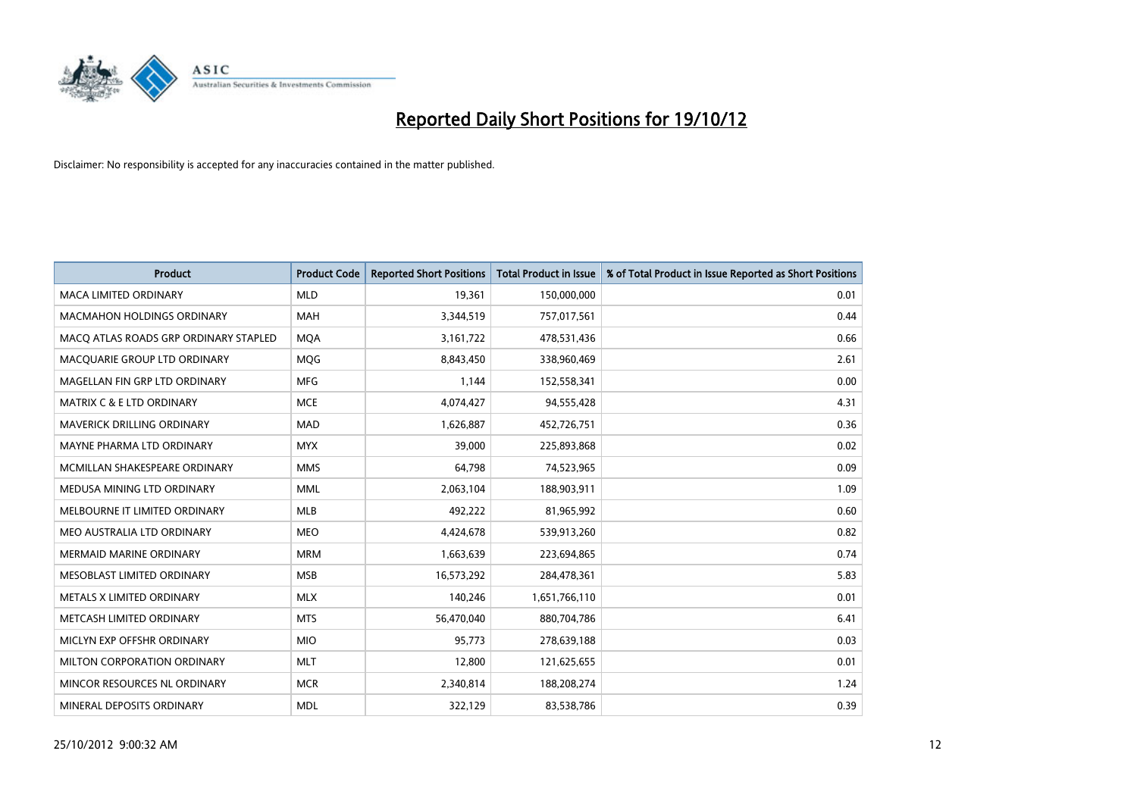

| <b>Product</b>                        | <b>Product Code</b> | <b>Reported Short Positions</b> | <b>Total Product in Issue</b> | % of Total Product in Issue Reported as Short Positions |
|---------------------------------------|---------------------|---------------------------------|-------------------------------|---------------------------------------------------------|
| <b>MACA LIMITED ORDINARY</b>          | <b>MLD</b>          | 19,361                          | 150,000,000                   | 0.01                                                    |
| <b>MACMAHON HOLDINGS ORDINARY</b>     | <b>MAH</b>          | 3,344,519                       | 757,017,561                   | 0.44                                                    |
| MACO ATLAS ROADS GRP ORDINARY STAPLED | <b>MOA</b>          | 3,161,722                       | 478,531,436                   | 0.66                                                    |
| MACQUARIE GROUP LTD ORDINARY          | MQG                 | 8,843,450                       | 338,960,469                   | 2.61                                                    |
| MAGELLAN FIN GRP LTD ORDINARY         | <b>MFG</b>          | 1,144                           | 152,558,341                   | 0.00                                                    |
| <b>MATRIX C &amp; E LTD ORDINARY</b>  | <b>MCE</b>          | 4,074,427                       | 94,555,428                    | 4.31                                                    |
| <b>MAVERICK DRILLING ORDINARY</b>     | <b>MAD</b>          | 1,626,887                       | 452,726,751                   | 0.36                                                    |
| MAYNE PHARMA LTD ORDINARY             | <b>MYX</b>          | 39,000                          | 225,893,868                   | 0.02                                                    |
| MCMILLAN SHAKESPEARE ORDINARY         | <b>MMS</b>          | 64,798                          | 74,523,965                    | 0.09                                                    |
| MEDUSA MINING LTD ORDINARY            | <b>MML</b>          | 2,063,104                       | 188,903,911                   | 1.09                                                    |
| MELBOURNE IT LIMITED ORDINARY         | <b>MLB</b>          | 492,222                         | 81,965,992                    | 0.60                                                    |
| MEO AUSTRALIA LTD ORDINARY            | <b>MEO</b>          | 4,424,678                       | 539,913,260                   | 0.82                                                    |
| MERMAID MARINE ORDINARY               | <b>MRM</b>          | 1,663,639                       | 223,694,865                   | 0.74                                                    |
| MESOBLAST LIMITED ORDINARY            | <b>MSB</b>          | 16,573,292                      | 284,478,361                   | 5.83                                                    |
| METALS X LIMITED ORDINARY             | <b>MLX</b>          | 140,246                         | 1,651,766,110                 | 0.01                                                    |
| METCASH LIMITED ORDINARY              | <b>MTS</b>          | 56,470,040                      | 880,704,786                   | 6.41                                                    |
| MICLYN EXP OFFSHR ORDINARY            | <b>MIO</b>          | 95,773                          | 278,639,188                   | 0.03                                                    |
| MILTON CORPORATION ORDINARY           | <b>MLT</b>          | 12,800                          | 121,625,655                   | 0.01                                                    |
| MINCOR RESOURCES NL ORDINARY          | <b>MCR</b>          | 2,340,814                       | 188,208,274                   | 1.24                                                    |
| MINERAL DEPOSITS ORDINARY             | <b>MDL</b>          | 322,129                         | 83,538,786                    | 0.39                                                    |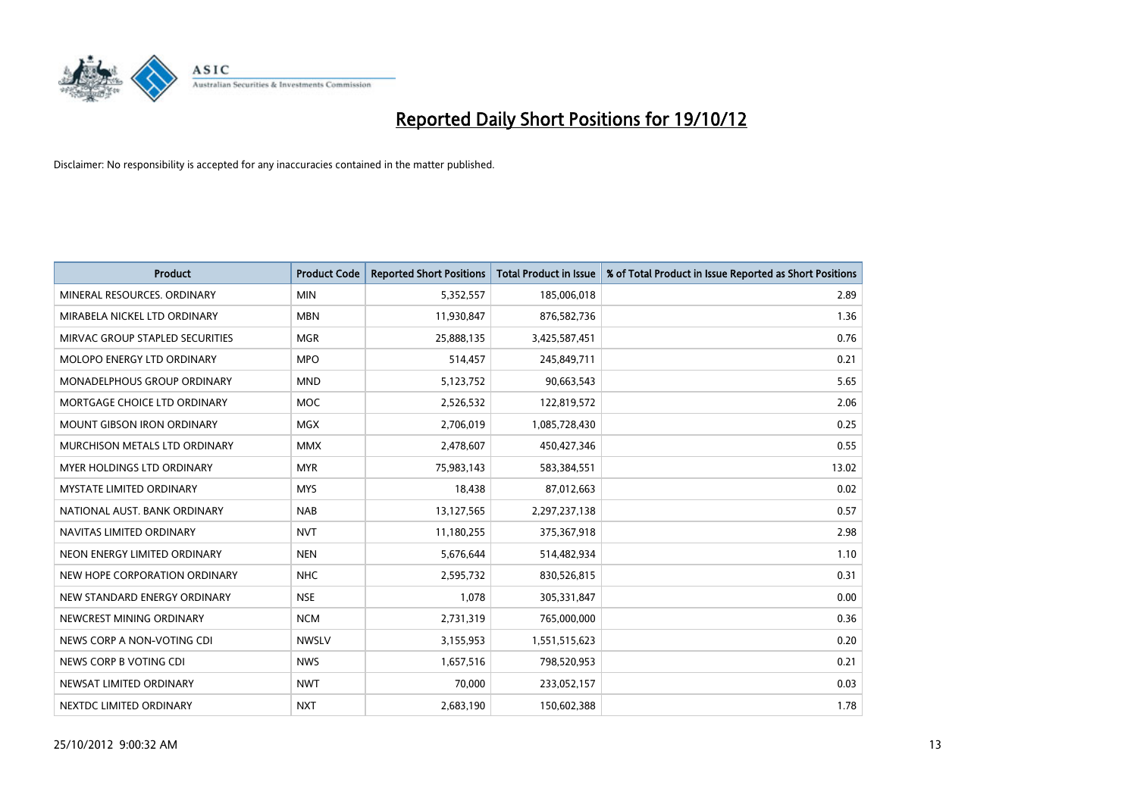

| <b>Product</b>                     | <b>Product Code</b> | <b>Reported Short Positions</b> | <b>Total Product in Issue</b> | % of Total Product in Issue Reported as Short Positions |
|------------------------------------|---------------------|---------------------------------|-------------------------------|---------------------------------------------------------|
| MINERAL RESOURCES, ORDINARY        | <b>MIN</b>          | 5,352,557                       | 185,006,018                   | 2.89                                                    |
| MIRABELA NICKEL LTD ORDINARY       | <b>MBN</b>          | 11,930,847                      | 876,582,736                   | 1.36                                                    |
| MIRVAC GROUP STAPLED SECURITIES    | <b>MGR</b>          | 25,888,135                      | 3,425,587,451                 | 0.76                                                    |
| MOLOPO ENERGY LTD ORDINARY         | <b>MPO</b>          | 514,457                         | 245,849,711                   | 0.21                                                    |
| <b>MONADELPHOUS GROUP ORDINARY</b> | <b>MND</b>          | 5,123,752                       | 90,663,543                    | 5.65                                                    |
| MORTGAGE CHOICE LTD ORDINARY       | <b>MOC</b>          | 2,526,532                       | 122,819,572                   | 2.06                                                    |
| <b>MOUNT GIBSON IRON ORDINARY</b>  | <b>MGX</b>          | 2,706,019                       | 1,085,728,430                 | 0.25                                                    |
| MURCHISON METALS LTD ORDINARY      | <b>MMX</b>          | 2,478,607                       | 450,427,346                   | 0.55                                                    |
| MYER HOLDINGS LTD ORDINARY         | <b>MYR</b>          | 75,983,143                      | 583,384,551                   | 13.02                                                   |
| <b>MYSTATE LIMITED ORDINARY</b>    | <b>MYS</b>          | 18,438                          | 87,012,663                    | 0.02                                                    |
| NATIONAL AUST. BANK ORDINARY       | <b>NAB</b>          | 13,127,565                      | 2,297,237,138                 | 0.57                                                    |
| NAVITAS LIMITED ORDINARY           | <b>NVT</b>          | 11,180,255                      | 375,367,918                   | 2.98                                                    |
| NEON ENERGY LIMITED ORDINARY       | <b>NEN</b>          | 5,676,644                       | 514,482,934                   | 1.10                                                    |
| NEW HOPE CORPORATION ORDINARY      | <b>NHC</b>          | 2,595,732                       | 830,526,815                   | 0.31                                                    |
| NEW STANDARD ENERGY ORDINARY       | <b>NSE</b>          | 1,078                           | 305,331,847                   | 0.00                                                    |
| NEWCREST MINING ORDINARY           | <b>NCM</b>          | 2,731,319                       | 765,000,000                   | 0.36                                                    |
| NEWS CORP A NON-VOTING CDI         | <b>NWSLV</b>        | 3,155,953                       | 1,551,515,623                 | 0.20                                                    |
| NEWS CORP B VOTING CDI             | <b>NWS</b>          | 1,657,516                       | 798,520,953                   | 0.21                                                    |
| NEWSAT LIMITED ORDINARY            | <b>NWT</b>          | 70,000                          | 233,052,157                   | 0.03                                                    |
| NEXTDC LIMITED ORDINARY            | <b>NXT</b>          | 2,683,190                       | 150,602,388                   | 1.78                                                    |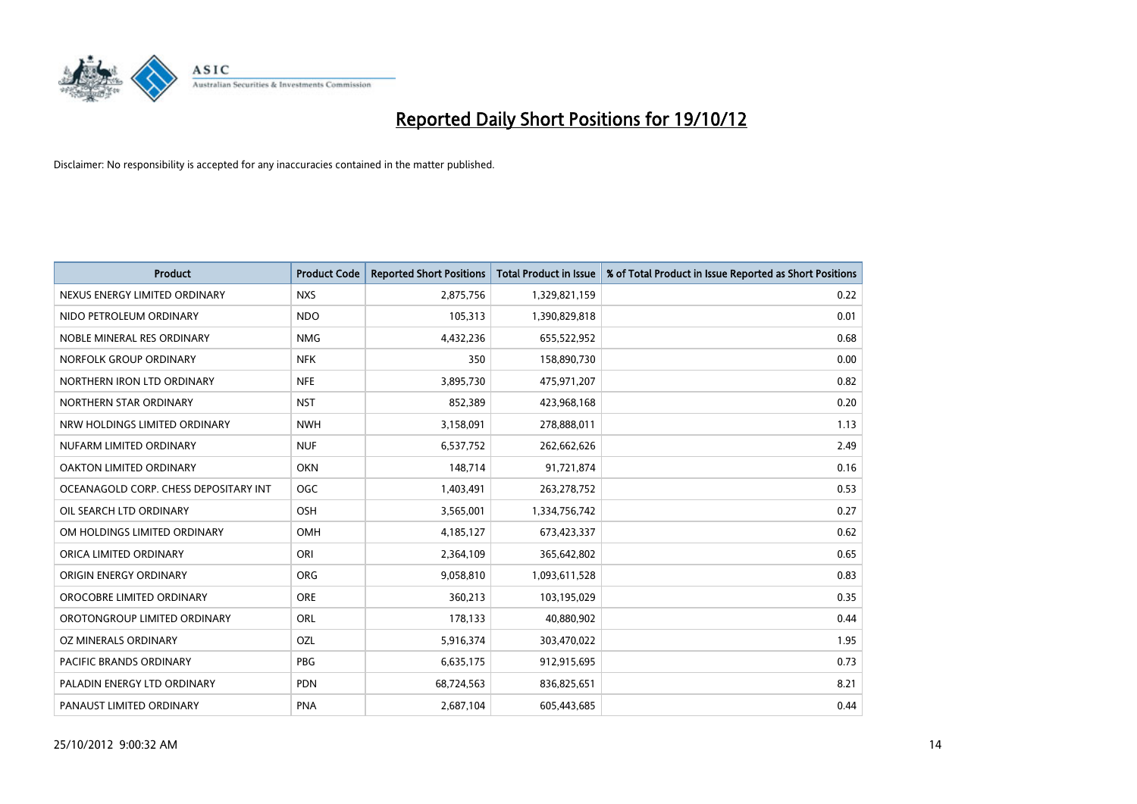

| <b>Product</b>                        | <b>Product Code</b> | <b>Reported Short Positions</b> | <b>Total Product in Issue</b> | % of Total Product in Issue Reported as Short Positions |
|---------------------------------------|---------------------|---------------------------------|-------------------------------|---------------------------------------------------------|
| NEXUS ENERGY LIMITED ORDINARY         | <b>NXS</b>          | 2,875,756                       | 1,329,821,159                 | 0.22                                                    |
| NIDO PETROLEUM ORDINARY               | <b>NDO</b>          | 105,313                         | 1,390,829,818                 | 0.01                                                    |
| NOBLE MINERAL RES ORDINARY            | <b>NMG</b>          | 4,432,236                       | 655,522,952                   | 0.68                                                    |
| NORFOLK GROUP ORDINARY                | <b>NFK</b>          | 350                             | 158,890,730                   | 0.00                                                    |
| NORTHERN IRON LTD ORDINARY            | <b>NFE</b>          | 3,895,730                       | 475,971,207                   | 0.82                                                    |
| NORTHERN STAR ORDINARY                | <b>NST</b>          | 852,389                         | 423,968,168                   | 0.20                                                    |
| NRW HOLDINGS LIMITED ORDINARY         | <b>NWH</b>          | 3,158,091                       | 278,888,011                   | 1.13                                                    |
| NUFARM LIMITED ORDINARY               | <b>NUF</b>          | 6,537,752                       | 262,662,626                   | 2.49                                                    |
| <b>OAKTON LIMITED ORDINARY</b>        | <b>OKN</b>          | 148,714                         | 91,721,874                    | 0.16                                                    |
| OCEANAGOLD CORP. CHESS DEPOSITARY INT | <b>OGC</b>          | 1,403,491                       | 263,278,752                   | 0.53                                                    |
| OIL SEARCH LTD ORDINARY               | OSH                 | 3,565,001                       | 1,334,756,742                 | 0.27                                                    |
| OM HOLDINGS LIMITED ORDINARY          | <b>OMH</b>          | 4,185,127                       | 673,423,337                   | 0.62                                                    |
| ORICA LIMITED ORDINARY                | ORI                 | 2,364,109                       | 365,642,802                   | 0.65                                                    |
| <b>ORIGIN ENERGY ORDINARY</b>         | <b>ORG</b>          | 9,058,810                       | 1,093,611,528                 | 0.83                                                    |
| OROCOBRE LIMITED ORDINARY             | <b>ORE</b>          | 360,213                         | 103,195,029                   | 0.35                                                    |
| OROTONGROUP LIMITED ORDINARY          | ORL                 | 178,133                         | 40,880,902                    | 0.44                                                    |
| OZ MINERALS ORDINARY                  | OZL                 | 5,916,374                       | 303,470,022                   | 1.95                                                    |
| PACIFIC BRANDS ORDINARY               | <b>PBG</b>          | 6,635,175                       | 912,915,695                   | 0.73                                                    |
| PALADIN ENERGY LTD ORDINARY           | <b>PDN</b>          | 68,724,563                      | 836,825,651                   | 8.21                                                    |
| PANAUST LIMITED ORDINARY              | <b>PNA</b>          | 2,687,104                       | 605,443,685                   | 0.44                                                    |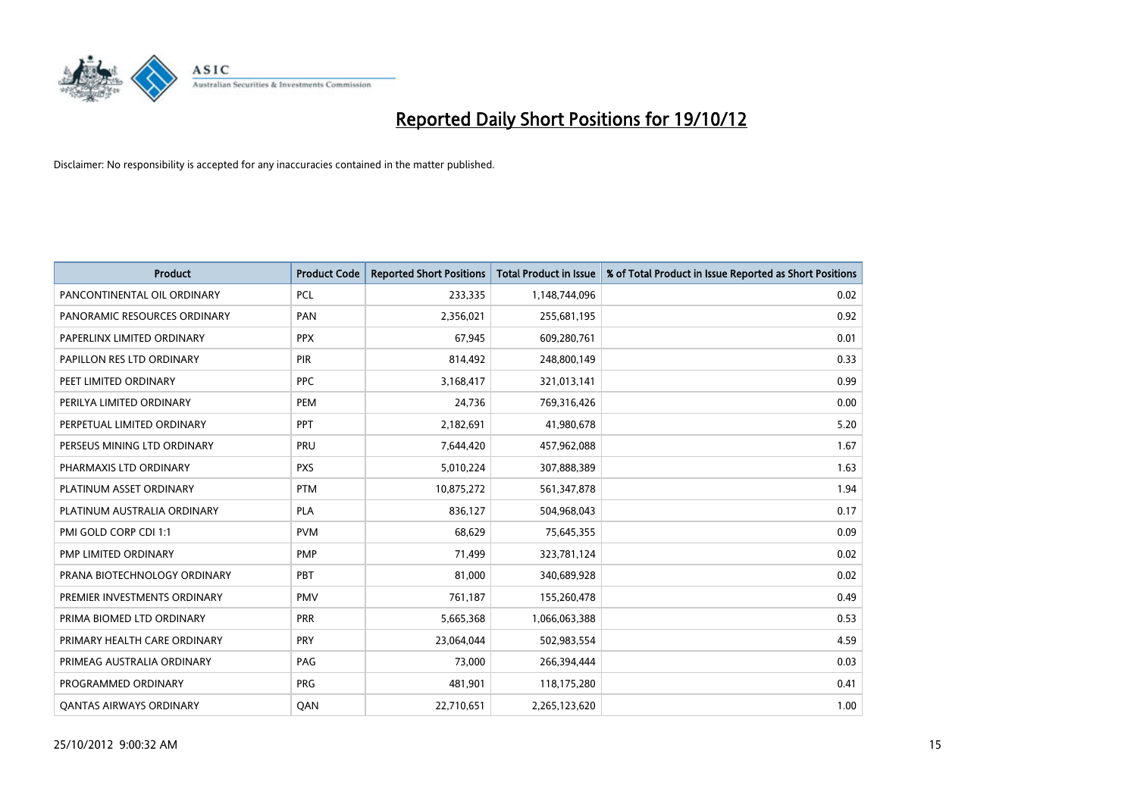

| <b>Product</b>                 | <b>Product Code</b> | <b>Reported Short Positions</b> | <b>Total Product in Issue</b> | % of Total Product in Issue Reported as Short Positions |
|--------------------------------|---------------------|---------------------------------|-------------------------------|---------------------------------------------------------|
| PANCONTINENTAL OIL ORDINARY    | <b>PCL</b>          | 233,335                         | 1,148,744,096                 | 0.02                                                    |
| PANORAMIC RESOURCES ORDINARY   | PAN                 | 2,356,021                       | 255,681,195                   | 0.92                                                    |
| PAPERLINX LIMITED ORDINARY     | <b>PPX</b>          | 67,945                          | 609,280,761                   | 0.01                                                    |
| PAPILLON RES LTD ORDINARY      | <b>PIR</b>          | 814,492                         | 248,800,149                   | 0.33                                                    |
| PEET LIMITED ORDINARY          | <b>PPC</b>          | 3,168,417                       | 321,013,141                   | 0.99                                                    |
| PERILYA LIMITED ORDINARY       | PEM                 | 24,736                          | 769,316,426                   | 0.00                                                    |
| PERPETUAL LIMITED ORDINARY     | <b>PPT</b>          | 2,182,691                       | 41,980,678                    | 5.20                                                    |
| PERSEUS MINING LTD ORDINARY    | PRU                 | 7,644,420                       | 457,962,088                   | 1.67                                                    |
| PHARMAXIS LTD ORDINARY         | <b>PXS</b>          | 5,010,224                       | 307,888,389                   | 1.63                                                    |
| PLATINUM ASSET ORDINARY        | <b>PTM</b>          | 10,875,272                      | 561,347,878                   | 1.94                                                    |
| PLATINUM AUSTRALIA ORDINARY    | <b>PLA</b>          | 836,127                         | 504,968,043                   | 0.17                                                    |
| PMI GOLD CORP CDI 1:1          | <b>PVM</b>          | 68,629                          | 75,645,355                    | 0.09                                                    |
| PMP LIMITED ORDINARY           | <b>PMP</b>          | 71,499                          | 323,781,124                   | 0.02                                                    |
| PRANA BIOTECHNOLOGY ORDINARY   | PBT                 | 81,000                          | 340,689,928                   | 0.02                                                    |
| PREMIER INVESTMENTS ORDINARY   | <b>PMV</b>          | 761,187                         | 155,260,478                   | 0.49                                                    |
| PRIMA BIOMED LTD ORDINARY      | <b>PRR</b>          | 5,665,368                       | 1,066,063,388                 | 0.53                                                    |
| PRIMARY HEALTH CARE ORDINARY   | <b>PRY</b>          | 23,064,044                      | 502,983,554                   | 4.59                                                    |
| PRIMEAG AUSTRALIA ORDINARY     | <b>PAG</b>          | 73,000                          | 266,394,444                   | 0.03                                                    |
| PROGRAMMED ORDINARY            | <b>PRG</b>          | 481,901                         | 118,175,280                   | 0.41                                                    |
| <b>QANTAS AIRWAYS ORDINARY</b> | QAN                 | 22,710,651                      | 2,265,123,620                 | 1.00                                                    |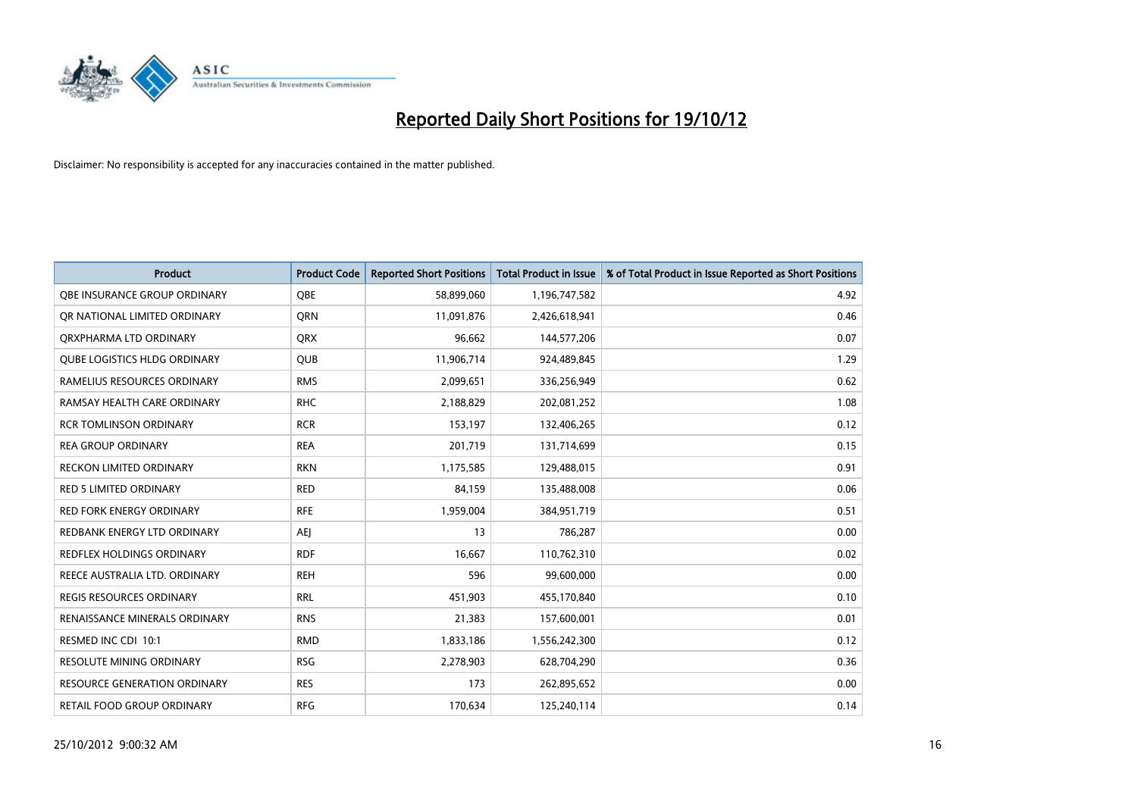

| <b>Product</b>                      | <b>Product Code</b> | <b>Reported Short Positions</b> | <b>Total Product in Issue</b> | % of Total Product in Issue Reported as Short Positions |
|-------------------------------------|---------------------|---------------------------------|-------------------------------|---------------------------------------------------------|
| OBE INSURANCE GROUP ORDINARY        | <b>OBE</b>          | 58,899,060                      | 1,196,747,582                 | 4.92                                                    |
| OR NATIONAL LIMITED ORDINARY        | <b>ORN</b>          | 11,091,876                      | 2,426,618,941                 | 0.46                                                    |
| ORXPHARMA LTD ORDINARY              | <b>QRX</b>          | 96,662                          | 144,577,206                   | 0.07                                                    |
| <b>OUBE LOGISTICS HLDG ORDINARY</b> | <b>QUB</b>          | 11,906,714                      | 924,489,845                   | 1.29                                                    |
| RAMELIUS RESOURCES ORDINARY         | <b>RMS</b>          | 2,099,651                       | 336,256,949                   | 0.62                                                    |
| RAMSAY HEALTH CARE ORDINARY         | <b>RHC</b>          | 2,188,829                       | 202,081,252                   | 1.08                                                    |
| <b>RCR TOMLINSON ORDINARY</b>       | <b>RCR</b>          | 153,197                         | 132,406,265                   | 0.12                                                    |
| <b>REA GROUP ORDINARY</b>           | <b>REA</b>          | 201,719                         | 131,714,699                   | 0.15                                                    |
| <b>RECKON LIMITED ORDINARY</b>      | <b>RKN</b>          | 1,175,585                       | 129,488,015                   | 0.91                                                    |
| <b>RED 5 LIMITED ORDINARY</b>       | <b>RED</b>          | 84,159                          | 135,488,008                   | 0.06                                                    |
| <b>RED FORK ENERGY ORDINARY</b>     | <b>RFE</b>          | 1,959,004                       | 384,951,719                   | 0.51                                                    |
| REDBANK ENERGY LTD ORDINARY         | AEI                 | 13                              | 786,287                       | 0.00                                                    |
| <b>REDFLEX HOLDINGS ORDINARY</b>    | <b>RDF</b>          | 16,667                          | 110,762,310                   | 0.02                                                    |
| REECE AUSTRALIA LTD. ORDINARY       | <b>REH</b>          | 596                             | 99,600,000                    | 0.00                                                    |
| <b>REGIS RESOURCES ORDINARY</b>     | <b>RRL</b>          | 451,903                         | 455,170,840                   | 0.10                                                    |
| RENAISSANCE MINERALS ORDINARY       | <b>RNS</b>          | 21,383                          | 157,600,001                   | 0.01                                                    |
| RESMED INC CDI 10:1                 | <b>RMD</b>          | 1,833,186                       | 1,556,242,300                 | 0.12                                                    |
| <b>RESOLUTE MINING ORDINARY</b>     | <b>RSG</b>          | 2,278,903                       | 628,704,290                   | 0.36                                                    |
| <b>RESOURCE GENERATION ORDINARY</b> | <b>RES</b>          | 173                             | 262,895,652                   | 0.00                                                    |
| RETAIL FOOD GROUP ORDINARY          | <b>RFG</b>          | 170,634                         | 125,240,114                   | 0.14                                                    |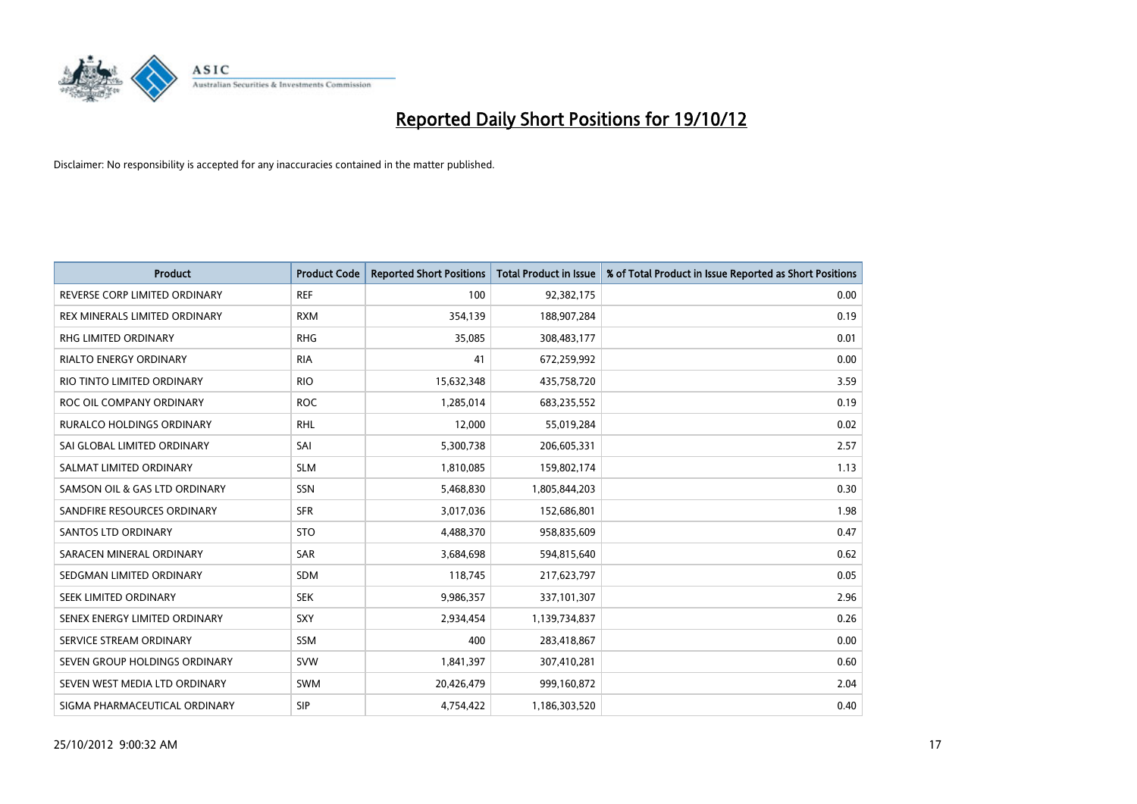

| <b>Product</b>                   | <b>Product Code</b> | <b>Reported Short Positions</b> | <b>Total Product in Issue</b> | % of Total Product in Issue Reported as Short Positions |
|----------------------------------|---------------------|---------------------------------|-------------------------------|---------------------------------------------------------|
| REVERSE CORP LIMITED ORDINARY    | <b>REF</b>          | 100                             | 92,382,175                    | 0.00                                                    |
| REX MINERALS LIMITED ORDINARY    | <b>RXM</b>          | 354,139                         | 188,907,284                   | 0.19                                                    |
| RHG LIMITED ORDINARY             | <b>RHG</b>          | 35,085                          | 308,483,177                   | 0.01                                                    |
| RIALTO ENERGY ORDINARY           | <b>RIA</b>          | 41                              | 672,259,992                   | 0.00                                                    |
| RIO TINTO LIMITED ORDINARY       | <b>RIO</b>          | 15,632,348                      | 435,758,720                   | 3.59                                                    |
| ROC OIL COMPANY ORDINARY         | <b>ROC</b>          | 1,285,014                       | 683,235,552                   | 0.19                                                    |
| <b>RURALCO HOLDINGS ORDINARY</b> | <b>RHL</b>          | 12,000                          | 55,019,284                    | 0.02                                                    |
| SAI GLOBAL LIMITED ORDINARY      | SAI                 | 5,300,738                       | 206,605,331                   | 2.57                                                    |
| SALMAT LIMITED ORDINARY          | <b>SLM</b>          | 1,810,085                       | 159,802,174                   | 1.13                                                    |
| SAMSON OIL & GAS LTD ORDINARY    | SSN                 | 5,468,830                       | 1,805,844,203                 | 0.30                                                    |
| SANDFIRE RESOURCES ORDINARY      | <b>SFR</b>          | 3,017,036                       | 152,686,801                   | 1.98                                                    |
| <b>SANTOS LTD ORDINARY</b>       | <b>STO</b>          | 4,488,370                       | 958,835,609                   | 0.47                                                    |
| SARACEN MINERAL ORDINARY         | SAR                 | 3,684,698                       | 594,815,640                   | 0.62                                                    |
| SEDGMAN LIMITED ORDINARY         | <b>SDM</b>          | 118,745                         | 217,623,797                   | 0.05                                                    |
| SEEK LIMITED ORDINARY            | <b>SEK</b>          | 9,986,357                       | 337,101,307                   | 2.96                                                    |
| SENEX ENERGY LIMITED ORDINARY    | SXY                 | 2,934,454                       | 1,139,734,837                 | 0.26                                                    |
| SERVICE STREAM ORDINARY          | <b>SSM</b>          | 400                             | 283,418,867                   | 0.00                                                    |
| SEVEN GROUP HOLDINGS ORDINARY    | <b>SVW</b>          | 1,841,397                       | 307,410,281                   | 0.60                                                    |
| SEVEN WEST MEDIA LTD ORDINARY    | <b>SWM</b>          | 20,426,479                      | 999,160,872                   | 2.04                                                    |
| SIGMA PHARMACEUTICAL ORDINARY    | <b>SIP</b>          | 4,754,422                       | 1,186,303,520                 | 0.40                                                    |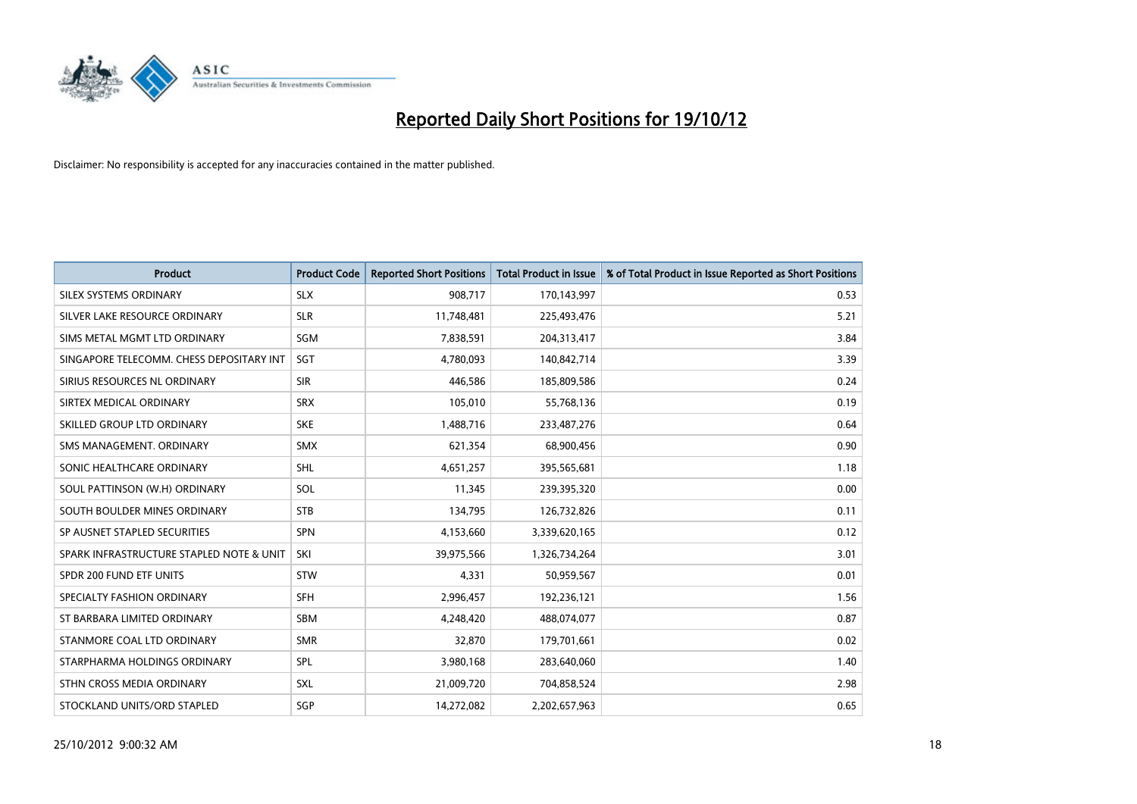

| <b>Product</b>                           | <b>Product Code</b> | <b>Reported Short Positions</b> | <b>Total Product in Issue</b> | % of Total Product in Issue Reported as Short Positions |
|------------------------------------------|---------------------|---------------------------------|-------------------------------|---------------------------------------------------------|
| SILEX SYSTEMS ORDINARY                   | <b>SLX</b>          | 908,717                         | 170,143,997                   | 0.53                                                    |
| SILVER LAKE RESOURCE ORDINARY            | <b>SLR</b>          | 11,748,481                      | 225,493,476                   | 5.21                                                    |
| SIMS METAL MGMT LTD ORDINARY             | SGM                 | 7,838,591                       | 204,313,417                   | 3.84                                                    |
| SINGAPORE TELECOMM. CHESS DEPOSITARY INT | <b>SGT</b>          | 4,780,093                       | 140,842,714                   | 3.39                                                    |
| SIRIUS RESOURCES NL ORDINARY             | <b>SIR</b>          | 446,586                         | 185,809,586                   | 0.24                                                    |
| SIRTEX MEDICAL ORDINARY                  | <b>SRX</b>          | 105,010                         | 55,768,136                    | 0.19                                                    |
| SKILLED GROUP LTD ORDINARY               | <b>SKE</b>          | 1,488,716                       | 233,487,276                   | 0.64                                                    |
| SMS MANAGEMENT, ORDINARY                 | <b>SMX</b>          | 621,354                         | 68,900,456                    | 0.90                                                    |
| SONIC HEALTHCARE ORDINARY                | <b>SHL</b>          | 4,651,257                       | 395,565,681                   | 1.18                                                    |
| SOUL PATTINSON (W.H) ORDINARY            | SOL                 | 11,345                          | 239,395,320                   | 0.00                                                    |
| SOUTH BOULDER MINES ORDINARY             | <b>STB</b>          | 134,795                         | 126,732,826                   | 0.11                                                    |
| SP AUSNET STAPLED SECURITIES             | <b>SPN</b>          | 4,153,660                       | 3,339,620,165                 | 0.12                                                    |
| SPARK INFRASTRUCTURE STAPLED NOTE & UNIT | SKI                 | 39,975,566                      | 1,326,734,264                 | 3.01                                                    |
| SPDR 200 FUND ETF UNITS                  | <b>STW</b>          | 4,331                           | 50,959,567                    | 0.01                                                    |
| SPECIALTY FASHION ORDINARY               | <b>SFH</b>          | 2,996,457                       | 192,236,121                   | 1.56                                                    |
| ST BARBARA LIMITED ORDINARY              | <b>SBM</b>          | 4,248,420                       | 488,074,077                   | 0.87                                                    |
| STANMORE COAL LTD ORDINARY               | <b>SMR</b>          | 32,870                          | 179,701,661                   | 0.02                                                    |
| STARPHARMA HOLDINGS ORDINARY             | <b>SPL</b>          | 3,980,168                       | 283,640,060                   | 1.40                                                    |
| STHN CROSS MEDIA ORDINARY                | <b>SXL</b>          | 21,009,720                      | 704,858,524                   | 2.98                                                    |
| STOCKLAND UNITS/ORD STAPLED              | SGP                 | 14.272.082                      | 2,202,657,963                 | 0.65                                                    |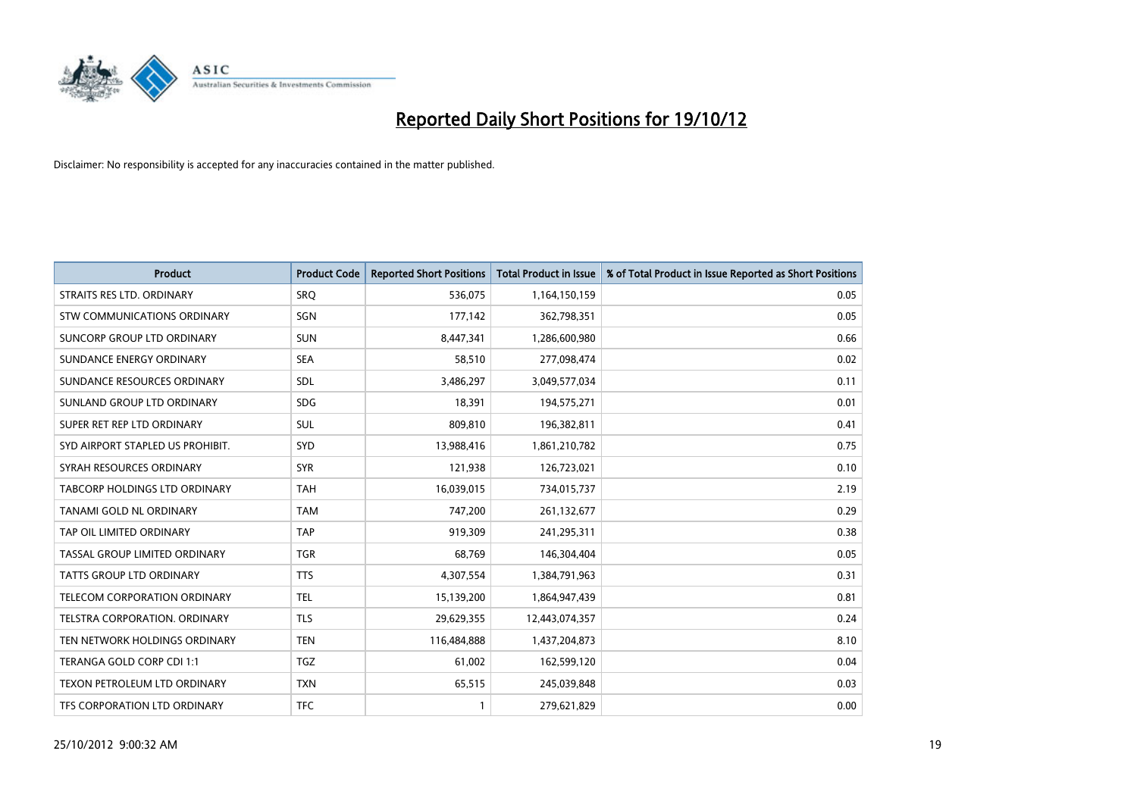

| <b>Product</b>                   | <b>Product Code</b> | <b>Reported Short Positions</b> | <b>Total Product in Issue</b> | % of Total Product in Issue Reported as Short Positions |
|----------------------------------|---------------------|---------------------------------|-------------------------------|---------------------------------------------------------|
| STRAITS RES LTD. ORDINARY        | SRO                 | 536,075                         | 1,164,150,159                 | 0.05                                                    |
| STW COMMUNICATIONS ORDINARY      | SGN                 | 177,142                         | 362,798,351                   | 0.05                                                    |
| SUNCORP GROUP LTD ORDINARY       | <b>SUN</b>          | 8,447,341                       | 1,286,600,980                 | 0.66                                                    |
| SUNDANCE ENERGY ORDINARY         | <b>SEA</b>          | 58,510                          | 277,098,474                   | 0.02                                                    |
| SUNDANCE RESOURCES ORDINARY      | <b>SDL</b>          | 3,486,297                       | 3,049,577,034                 | 0.11                                                    |
| SUNLAND GROUP LTD ORDINARY       | <b>SDG</b>          | 18,391                          | 194,575,271                   | 0.01                                                    |
| SUPER RET REP LTD ORDINARY       | <b>SUL</b>          | 809.810                         | 196,382,811                   | 0.41                                                    |
| SYD AIRPORT STAPLED US PROHIBIT. | <b>SYD</b>          | 13,988,416                      | 1,861,210,782                 | 0.75                                                    |
| SYRAH RESOURCES ORDINARY         | <b>SYR</b>          | 121,938                         | 126,723,021                   | 0.10                                                    |
| TABCORP HOLDINGS LTD ORDINARY    | <b>TAH</b>          | 16,039,015                      | 734,015,737                   | 2.19                                                    |
| TANAMI GOLD NL ORDINARY          | <b>TAM</b>          | 747,200                         | 261,132,677                   | 0.29                                                    |
| TAP OIL LIMITED ORDINARY         | <b>TAP</b>          | 919,309                         | 241,295,311                   | 0.38                                                    |
| TASSAL GROUP LIMITED ORDINARY    | <b>TGR</b>          | 68,769                          | 146,304,404                   | 0.05                                                    |
| <b>TATTS GROUP LTD ORDINARY</b>  | <b>TTS</b>          | 4,307,554                       | 1,384,791,963                 | 0.31                                                    |
| TELECOM CORPORATION ORDINARY     | <b>TEL</b>          | 15,139,200                      | 1,864,947,439                 | 0.81                                                    |
| TELSTRA CORPORATION, ORDINARY    | <b>TLS</b>          | 29,629,355                      | 12,443,074,357                | 0.24                                                    |
| TEN NETWORK HOLDINGS ORDINARY    | <b>TEN</b>          | 116,484,888                     | 1,437,204,873                 | 8.10                                                    |
| TERANGA GOLD CORP CDI 1:1        | <b>TGZ</b>          | 61,002                          | 162,599,120                   | 0.04                                                    |
| TEXON PETROLEUM LTD ORDINARY     | <b>TXN</b>          | 65,515                          | 245,039,848                   | 0.03                                                    |
| TFS CORPORATION LTD ORDINARY     | <b>TFC</b>          | $\mathbf{1}$                    | 279,621,829                   | 0.00                                                    |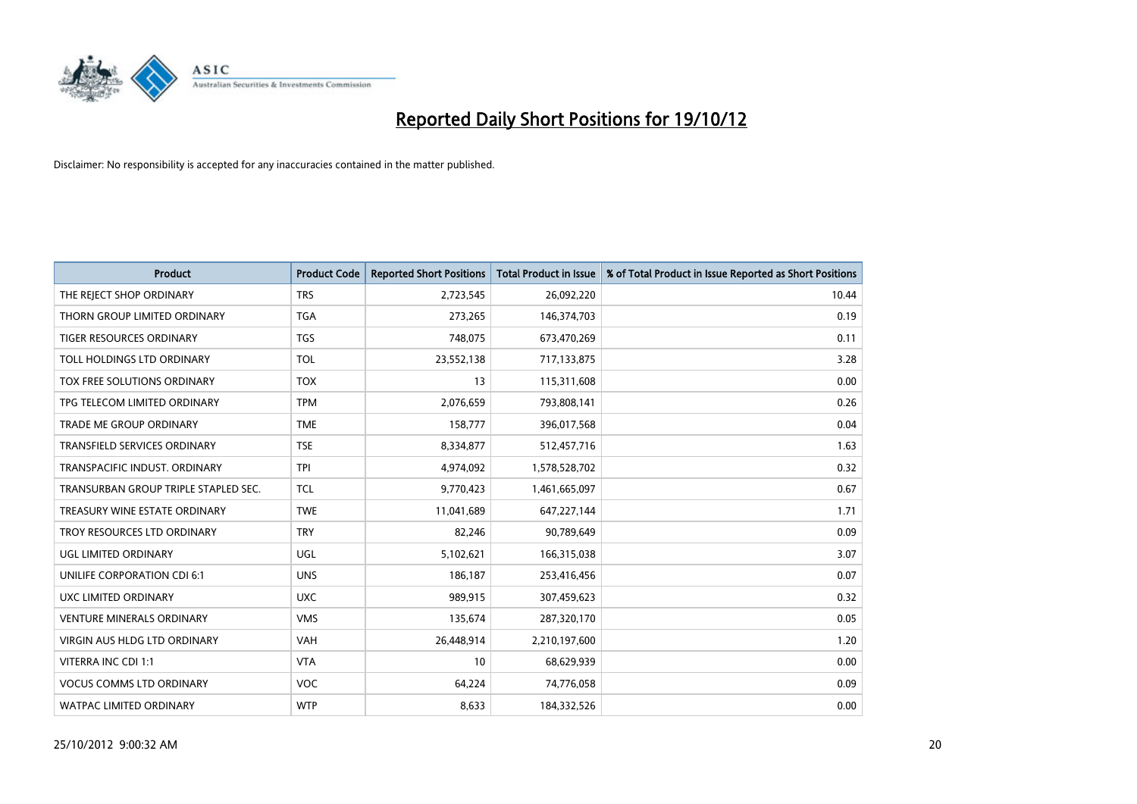

| <b>Product</b>                       | <b>Product Code</b> | <b>Reported Short Positions</b> | <b>Total Product in Issue</b> | % of Total Product in Issue Reported as Short Positions |
|--------------------------------------|---------------------|---------------------------------|-------------------------------|---------------------------------------------------------|
| THE REJECT SHOP ORDINARY             | <b>TRS</b>          | 2,723,545                       | 26,092,220                    | 10.44                                                   |
| THORN GROUP LIMITED ORDINARY         | <b>TGA</b>          | 273,265                         | 146,374,703                   | 0.19                                                    |
| TIGER RESOURCES ORDINARY             | <b>TGS</b>          | 748,075                         | 673,470,269                   | 0.11                                                    |
| TOLL HOLDINGS LTD ORDINARY           | <b>TOL</b>          | 23,552,138                      | 717,133,875                   | 3.28                                                    |
| TOX FREE SOLUTIONS ORDINARY          | <b>TOX</b>          | 13                              | 115,311,608                   | 0.00                                                    |
| TPG TELECOM LIMITED ORDINARY         | <b>TPM</b>          | 2,076,659                       | 793,808,141                   | 0.26                                                    |
| TRADE ME GROUP ORDINARY              | <b>TME</b>          | 158,777                         | 396,017,568                   | 0.04                                                    |
| TRANSFIELD SERVICES ORDINARY         | <b>TSE</b>          | 8,334,877                       | 512,457,716                   | 1.63                                                    |
| TRANSPACIFIC INDUST, ORDINARY        | <b>TPI</b>          | 4,974,092                       | 1,578,528,702                 | 0.32                                                    |
| TRANSURBAN GROUP TRIPLE STAPLED SEC. | <b>TCL</b>          | 9,770,423                       | 1,461,665,097                 | 0.67                                                    |
| TREASURY WINE ESTATE ORDINARY        | <b>TWE</b>          | 11,041,689                      | 647,227,144                   | 1.71                                                    |
| TROY RESOURCES LTD ORDINARY          | <b>TRY</b>          | 82,246                          | 90,789,649                    | 0.09                                                    |
| UGL LIMITED ORDINARY                 | UGL                 | 5,102,621                       | 166,315,038                   | 3.07                                                    |
| UNILIFE CORPORATION CDI 6:1          | <b>UNS</b>          | 186,187                         | 253,416,456                   | 0.07                                                    |
| UXC LIMITED ORDINARY                 | <b>UXC</b>          | 989,915                         | 307,459,623                   | 0.32                                                    |
| <b>VENTURE MINERALS ORDINARY</b>     | <b>VMS</b>          | 135,674                         | 287,320,170                   | 0.05                                                    |
| <b>VIRGIN AUS HLDG LTD ORDINARY</b>  | <b>VAH</b>          | 26,448,914                      | 2,210,197,600                 | 1.20                                                    |
| VITERRA INC CDI 1:1                  | <b>VTA</b>          | 10                              | 68,629,939                    | 0.00                                                    |
| <b>VOCUS COMMS LTD ORDINARY</b>      | <b>VOC</b>          | 64,224                          | 74,776,058                    | 0.09                                                    |
| <b>WATPAC LIMITED ORDINARY</b>       | <b>WTP</b>          | 8,633                           | 184,332,526                   | 0.00                                                    |